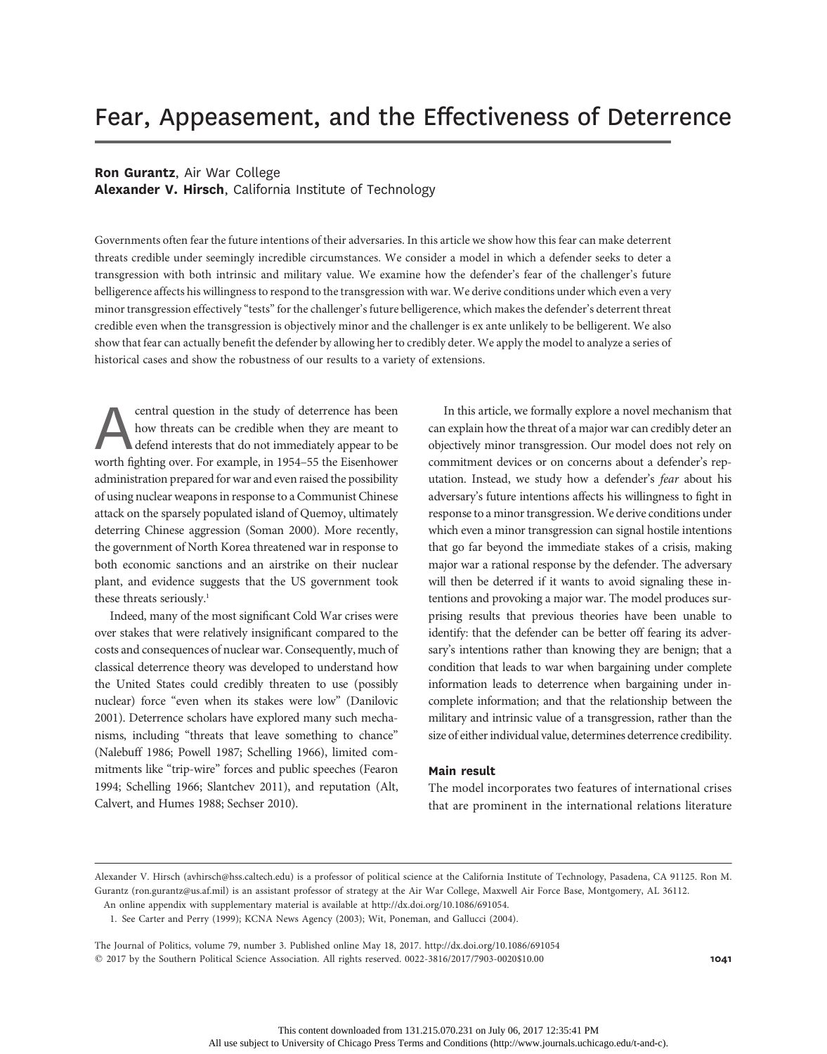# Fear, Appeasement, and the Effectiveness of Deterrence

# Ron Gurantz, Air War College

Alexander V. Hirsch, California Institute of Technology

Governments often fear the future intentions of their adversaries. In this article we show how this fear can make deterrent threats credible under seemingly incredible circumstances. We consider a model in which a defender seeks to deter a transgression with both intrinsic and military value. We examine how the defender's fear of the challenger's future belligerence affects his willingness to respond to the transgression with war. We derive conditions under which even a very minor transgression effectively "tests" for the challenger's future belligerence, which makes the defender's deterrent threat credible even when the transgression is objectively minor and the challenger is ex ante unlikely to be belligerent. We also show that fear can actually benefit the defender by allowing her to credibly deter. We apply the model to analyze a series of historical cases and show the robustness of our results to a variety of extensions.

**Accentral question in the study of deterrence has been**<br>how threats can be credible when they are meant to<br>defend interests that do not immediately appear to be<br>worth fighting over. For example, in 1954–55 the Eisenhower how threats can be credible when they are meant to defend interests that do not immediately appear to be administration prepared for war and even raised the possibility of using nuclear weapons in response to a Communist Chinese attack on the sparsely populated island of Quemoy, ultimately deterring Chinese aggression (Soman 2000). More recently, the government of North Korea threatened war in response to both economic sanctions and an airstrike on their nuclear plant, and evidence suggests that the US government took these threats seriously.<sup>1</sup>

Indeed, many of the most significant Cold War crises were over stakes that were relatively insignificant compared to the costs and consequences of nuclear war. Consequently, much of classical deterrence theory was developed to understand how the United States could credibly threaten to use (possibly nuclear) force "even when its stakes were low" (Danilovic 2001). Deterrence scholars have explored many such mechanisms, including "threats that leave something to chance" (Nalebuff 1986; Powell 1987; Schelling 1966), limited commitments like "trip-wire" forces and public speeches (Fearon 1994; Schelling 1966; Slantchev 2011), and reputation (Alt, Calvert, and Humes 1988; Sechser 2010).

In this article, we formally explore a novel mechanism that can explain how the threat of a major war can credibly deter an objectively minor transgression. Our model does not rely on commitment devices or on concerns about a defender's reputation. Instead, we study how a defender's fear about his adversary's future intentions affects his willingness to fight in response to a minor transgression.We derive conditions under which even a minor transgression can signal hostile intentions that go far beyond the immediate stakes of a crisis, making major war a rational response by the defender. The adversary will then be deterred if it wants to avoid signaling these intentions and provoking a major war. The model produces surprising results that previous theories have been unable to identify: that the defender can be better off fearing its adversary's intentions rather than knowing they are benign; that a condition that leads to war when bargaining under complete information leads to deterrence when bargaining under incomplete information; and that the relationship between the military and intrinsic value of a transgression, rather than the size of either individual value, determines deterrence credibility.

# Main result

The model incorporates two features of international crises that are prominent in the international relations literature

1. See Carter and Perry (1999); KCNA News Agency (2003); Wit, Poneman, and Gallucci (2004).

The Journal of Politics, volume 79, number 3. Published online May 18, 2017. http://dx.doi.org/10.1086/691054  $@$  2017 by the Southern Political Science Association. All rights reserved. 0022-3816/2017/7903-0020\$10.00 1041

Alexander V. Hirsch (avhirsch@hss.caltech.edu) is a professor of political science at the California Institute of Technology, Pasadena, CA 91125. Ron M. Gurantz (ron.gurantz@us.af.mil) is an assistant professor of strategy at the Air War College, Maxwell Air Force Base, Montgomery, AL 36112. An online appendix with supplementary material is available at http://dx.doi.org/10.1086/691054.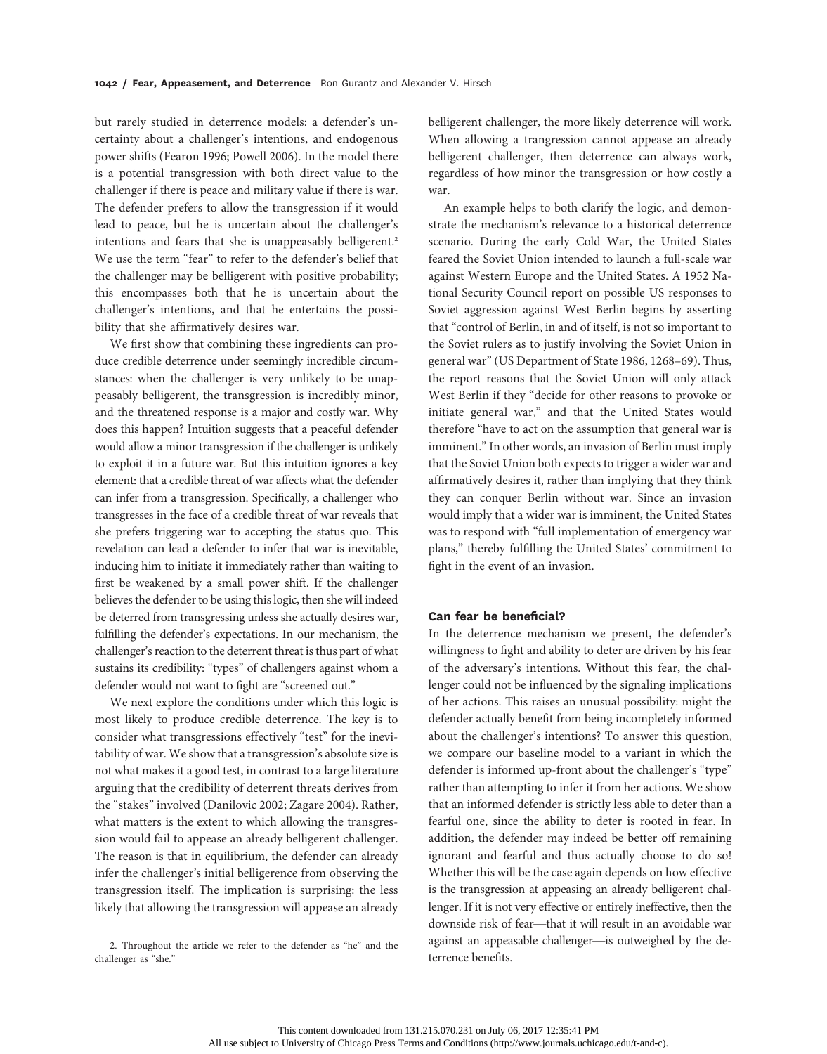but rarely studied in deterrence models: a defender's uncertainty about a challenger's intentions, and endogenous power shifts (Fearon 1996; Powell 2006). In the model there is a potential transgression with both direct value to the challenger if there is peace and military value if there is war. The defender prefers to allow the transgression if it would lead to peace, but he is uncertain about the challenger's intentions and fears that she is unappeasably belligerent.<sup>2</sup> We use the term "fear" to refer to the defender's belief that the challenger may be belligerent with positive probability; this encompasses both that he is uncertain about the challenger's intentions, and that he entertains the possibility that she affirmatively desires war.

We first show that combining these ingredients can produce credible deterrence under seemingly incredible circumstances: when the challenger is very unlikely to be unappeasably belligerent, the transgression is incredibly minor, and the threatened response is a major and costly war. Why does this happen? Intuition suggests that a peaceful defender would allow a minor transgression if the challenger is unlikely to exploit it in a future war. But this intuition ignores a key element: that a credible threat of war affects what the defender can infer from a transgression. Specifically, a challenger who transgresses in the face of a credible threat of war reveals that she prefers triggering war to accepting the status quo. This revelation can lead a defender to infer that war is inevitable, inducing him to initiate it immediately rather than waiting to first be weakened by a small power shift. If the challenger believes the defender to be using this logic, then she will indeed be deterred from transgressing unless she actually desires war, fulfilling the defender's expectations. In our mechanism, the challenger's reaction to the deterrent threat is thus part of what sustains its credibility: "types" of challengers against whom a defender would not want to fight are "screened out."

We next explore the conditions under which this logic is most likely to produce credible deterrence. The key is to consider what transgressions effectively "test" for the inevitability of war. We show that a transgression's absolute size is not what makes it a good test, in contrast to a large literature arguing that the credibility of deterrent threats derives from the "stakes" involved (Danilovic 2002; Zagare 2004). Rather, what matters is the extent to which allowing the transgression would fail to appease an already belligerent challenger. The reason is that in equilibrium, the defender can already infer the challenger's initial belligerence from observing the transgression itself. The implication is surprising: the less likely that allowing the transgression will appease an already

belligerent challenger, the more likely deterrence will work. When allowing a trangression cannot appease an already belligerent challenger, then deterrence can always work, regardless of how minor the transgression or how costly a war.

An example helps to both clarify the logic, and demonstrate the mechanism's relevance to a historical deterrence scenario. During the early Cold War, the United States feared the Soviet Union intended to launch a full-scale war against Western Europe and the United States. A 1952 National Security Council report on possible US responses to Soviet aggression against West Berlin begins by asserting that "control of Berlin, in and of itself, is not so important to the Soviet rulers as to justify involving the Soviet Union in general war" (US Department of State 1986, 1268–69). Thus, the report reasons that the Soviet Union will only attack West Berlin if they "decide for other reasons to provoke or initiate general war," and that the United States would therefore "have to act on the assumption that general war is imminent." In other words, an invasion of Berlin must imply that the Soviet Union both expects to trigger a wider war and affirmatively desires it, rather than implying that they think they can conquer Berlin without war. Since an invasion would imply that a wider war is imminent, the United States was to respond with "full implementation of emergency war plans," thereby fulfilling the United States' commitment to fight in the event of an invasion.

# Can fear be beneficial?

In the deterrence mechanism we present, the defender's willingness to fight and ability to deter are driven by his fear of the adversary's intentions. Without this fear, the challenger could not be influenced by the signaling implications of her actions. This raises an unusual possibility: might the defender actually benefit from being incompletely informed about the challenger's intentions? To answer this question, we compare our baseline model to a variant in which the defender is informed up-front about the challenger's "type" rather than attempting to infer it from her actions. We show that an informed defender is strictly less able to deter than a fearful one, since the ability to deter is rooted in fear. In addition, the defender may indeed be better off remaining ignorant and fearful and thus actually choose to do so! Whether this will be the case again depends on how effective is the transgression at appeasing an already belligerent challenger. If it is not very effective or entirely ineffective, then the downside risk of fear—that it will result in an avoidable war against an appeasable challenger—is outweighed by the deterrence benefits.

<sup>2.</sup> Throughout the article we refer to the defender as "he" and the challenger as "she."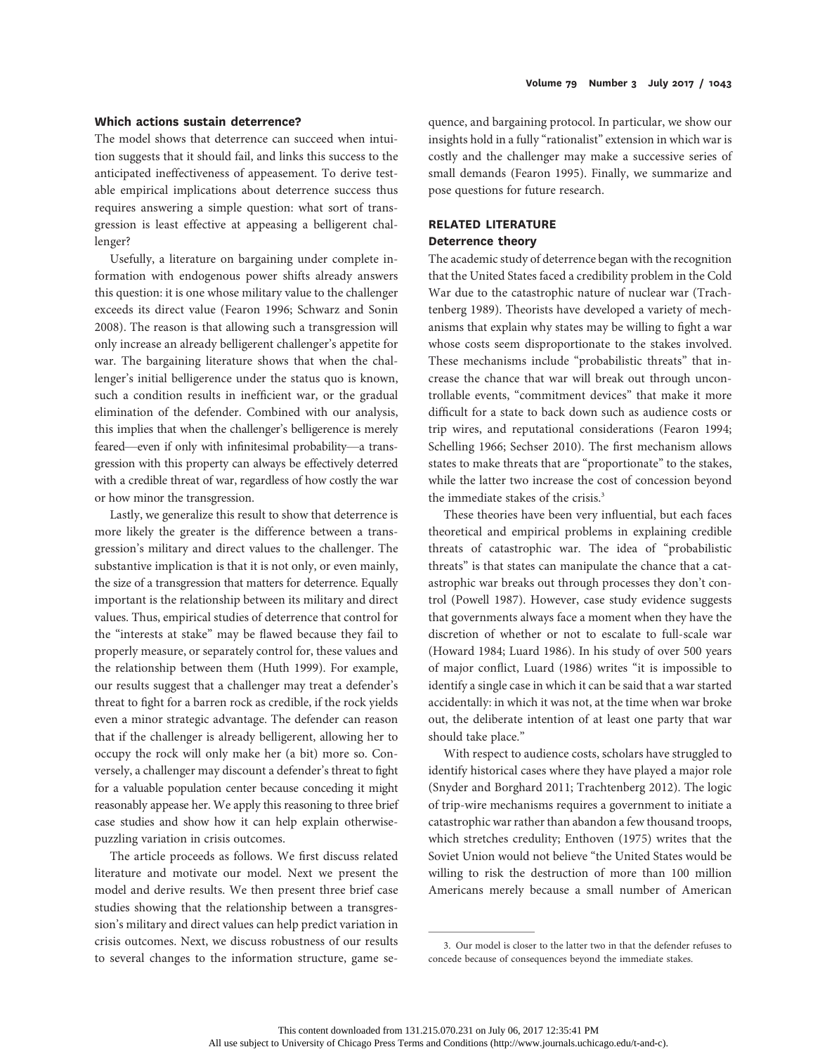## Which actions sustain deterrence?

The model shows that deterrence can succeed when intuition suggests that it should fail, and links this success to the anticipated ineffectiveness of appeasement. To derive testable empirical implications about deterrence success thus requires answering a simple question: what sort of transgression is least effective at appeasing a belligerent challenger?

Usefully, a literature on bargaining under complete information with endogenous power shifts already answers this question: it is one whose military value to the challenger exceeds its direct value (Fearon 1996; Schwarz and Sonin 2008). The reason is that allowing such a transgression will only increase an already belligerent challenger's appetite for war. The bargaining literature shows that when the challenger's initial belligerence under the status quo is known, such a condition results in inefficient war, or the gradual elimination of the defender. Combined with our analysis, this implies that when the challenger's belligerence is merely feared—even if only with infinitesimal probability—a transgression with this property can always be effectively deterred with a credible threat of war, regardless of how costly the war or how minor the transgression.

Lastly, we generalize this result to show that deterrence is more likely the greater is the difference between a transgression's military and direct values to the challenger. The substantive implication is that it is not only, or even mainly, the size of a transgression that matters for deterrence. Equally important is the relationship between its military and direct values. Thus, empirical studies of deterrence that control for the "interests at stake" may be flawed because they fail to properly measure, or separately control for, these values and the relationship between them (Huth 1999). For example, our results suggest that a challenger may treat a defender's threat to fight for a barren rock as credible, if the rock yields even a minor strategic advantage. The defender can reason that if the challenger is already belligerent, allowing her to occupy the rock will only make her (a bit) more so. Conversely, a challenger may discount a defender's threat to fight for a valuable population center because conceding it might reasonably appease her. We apply this reasoning to three brief case studies and show how it can help explain otherwisepuzzling variation in crisis outcomes.

The article proceeds as follows. We first discuss related literature and motivate our model. Next we present the model and derive results. We then present three brief case studies showing that the relationship between a transgression's military and direct values can help predict variation in crisis outcomes. Next, we discuss robustness of our results to several changes to the information structure, game se-

quence, and bargaining protocol. In particular, we show our insights hold in a fully "rationalist" extension in which war is costly and the challenger may make a successive series of small demands (Fearon 1995). Finally, we summarize and pose questions for future research.

# RELATED LITERATURE Deterrence theory

The academic study of deterrence began with the recognition that the United States faced a credibility problem in the Cold War due to the catastrophic nature of nuclear war (Trachtenberg 1989). Theorists have developed a variety of mechanisms that explain why states may be willing to fight a war whose costs seem disproportionate to the stakes involved. These mechanisms include "probabilistic threats" that increase the chance that war will break out through uncontrollable events, "commitment devices" that make it more difficult for a state to back down such as audience costs or trip wires, and reputational considerations (Fearon 1994; Schelling 1966; Sechser 2010). The first mechanism allows states to make threats that are "proportionate" to the stakes, while the latter two increase the cost of concession beyond the immediate stakes of the crisis.<sup>3</sup>

These theories have been very influential, but each faces theoretical and empirical problems in explaining credible threats of catastrophic war. The idea of "probabilistic threats" is that states can manipulate the chance that a catastrophic war breaks out through processes they don't control (Powell 1987). However, case study evidence suggests that governments always face a moment when they have the discretion of whether or not to escalate to full-scale war (Howard 1984; Luard 1986). In his study of over 500 years of major conflict, Luard (1986) writes "it is impossible to identify a single case in which it can be said that a war started accidentally: in which it was not, at the time when war broke out, the deliberate intention of at least one party that war should take place."

With respect to audience costs, scholars have struggled to identify historical cases where they have played a major role (Snyder and Borghard 2011; Trachtenberg 2012). The logic of trip-wire mechanisms requires a government to initiate a catastrophic war rather than abandon a few thousand troops, which stretches credulity; Enthoven (1975) writes that the Soviet Union would not believe "the United States would be willing to risk the destruction of more than 100 million Americans merely because a small number of American

<sup>3.</sup> Our model is closer to the latter two in that the defender refuses to concede because of consequences beyond the immediate stakes.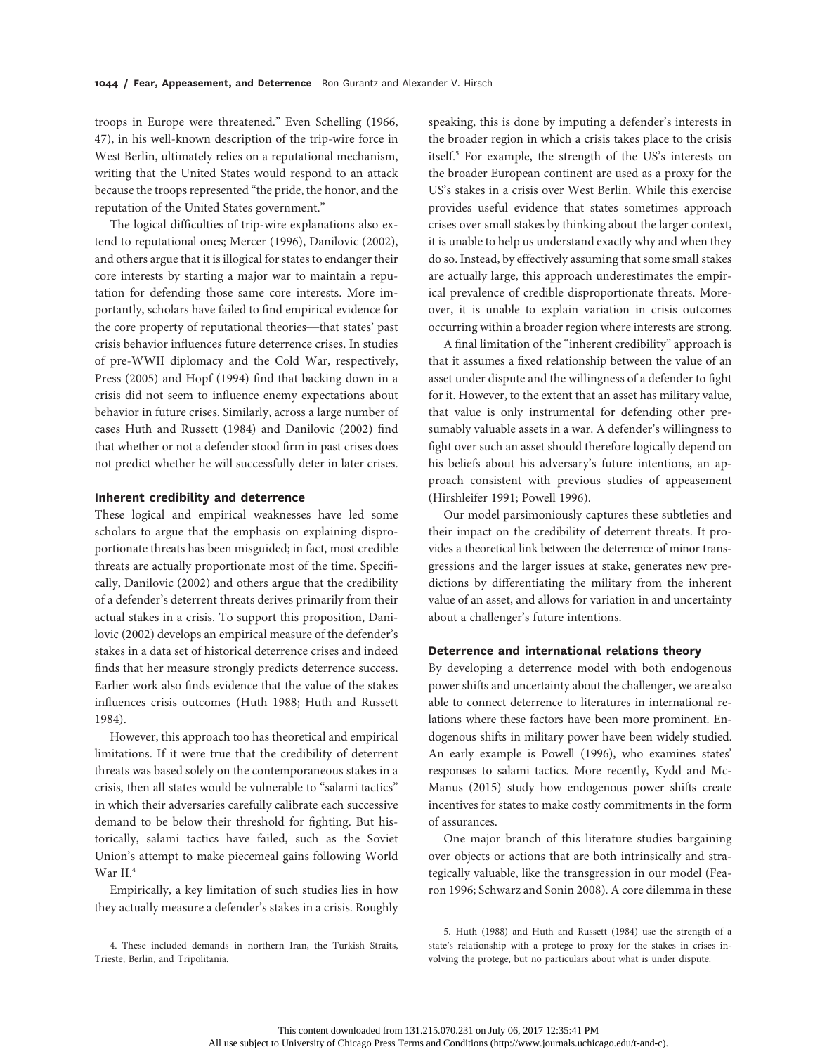troops in Europe were threatened." Even Schelling (1966, 47), in his well-known description of the trip-wire force in West Berlin, ultimately relies on a reputational mechanism, writing that the United States would respond to an attack because the troops represented "the pride, the honor, and the reputation of the United States government."

The logical difficulties of trip-wire explanations also extend to reputational ones; Mercer (1996), Danilovic (2002), and others argue that it is illogical for states to endanger their core interests by starting a major war to maintain a reputation for defending those same core interests. More importantly, scholars have failed to find empirical evidence for the core property of reputational theories—that states' past crisis behavior influences future deterrence crises. In studies of pre-WWII diplomacy and the Cold War, respectively, Press (2005) and Hopf (1994) find that backing down in a crisis did not seem to influence enemy expectations about behavior in future crises. Similarly, across a large number of cases Huth and Russett (1984) and Danilovic (2002) find that whether or not a defender stood firm in past crises does not predict whether he will successfully deter in later crises.

## Inherent credibility and deterrence

These logical and empirical weaknesses have led some scholars to argue that the emphasis on explaining disproportionate threats has been misguided; in fact, most credible threats are actually proportionate most of the time. Specifically, Danilovic (2002) and others argue that the credibility of a defender's deterrent threats derives primarily from their actual stakes in a crisis. To support this proposition, Danilovic (2002) develops an empirical measure of the defender's stakes in a data set of historical deterrence crises and indeed finds that her measure strongly predicts deterrence success. Earlier work also finds evidence that the value of the stakes influences crisis outcomes (Huth 1988; Huth and Russett 1984).

However, this approach too has theoretical and empirical limitations. If it were true that the credibility of deterrent threats was based solely on the contemporaneous stakes in a crisis, then all states would be vulnerable to "salami tactics" in which their adversaries carefully calibrate each successive demand to be below their threshold for fighting. But historically, salami tactics have failed, such as the Soviet Union's attempt to make piecemeal gains following World War II.4

Empirically, a key limitation of such studies lies in how they actually measure a defender's stakes in a crisis. Roughly

speaking, this is done by imputing a defender's interests in the broader region in which a crisis takes place to the crisis itself.5 For example, the strength of the US's interests on the broader European continent are used as a proxy for the US's stakes in a crisis over West Berlin. While this exercise provides useful evidence that states sometimes approach crises over small stakes by thinking about the larger context, it is unable to help us understand exactly why and when they do so. Instead, by effectively assuming that some small stakes are actually large, this approach underestimates the empirical prevalence of credible disproportionate threats. Moreover, it is unable to explain variation in crisis outcomes occurring within a broader region where interests are strong.

A final limitation of the "inherent credibility" approach is that it assumes a fixed relationship between the value of an asset under dispute and the willingness of a defender to fight for it. However, to the extent that an asset has military value, that value is only instrumental for defending other presumably valuable assets in a war. A defender's willingness to fight over such an asset should therefore logically depend on his beliefs about his adversary's future intentions, an approach consistent with previous studies of appeasement (Hirshleifer 1991; Powell 1996).

Our model parsimoniously captures these subtleties and their impact on the credibility of deterrent threats. It provides a theoretical link between the deterrence of minor transgressions and the larger issues at stake, generates new predictions by differentiating the military from the inherent value of an asset, and allows for variation in and uncertainty about a challenger's future intentions.

## Deterrence and international relations theory

By developing a deterrence model with both endogenous power shifts and uncertainty about the challenger, we are also able to connect deterrence to literatures in international relations where these factors have been more prominent. Endogenous shifts in military power have been widely studied. An early example is Powell (1996), who examines states' responses to salami tactics. More recently, Kydd and Mc-Manus (2015) study how endogenous power shifts create incentives for states to make costly commitments in the form of assurances.

One major branch of this literature studies bargaining over objects or actions that are both intrinsically and strategically valuable, like the transgression in our model (Fearon 1996; Schwarz and Sonin 2008). A core dilemma in these

<sup>4.</sup> These included demands in northern Iran, the Turkish Straits, Trieste, Berlin, and Tripolitania.

<sup>5.</sup> Huth (1988) and Huth and Russett (1984) use the strength of a state's relationship with a protege to proxy for the stakes in crises involving the protege, but no particulars about what is under dispute.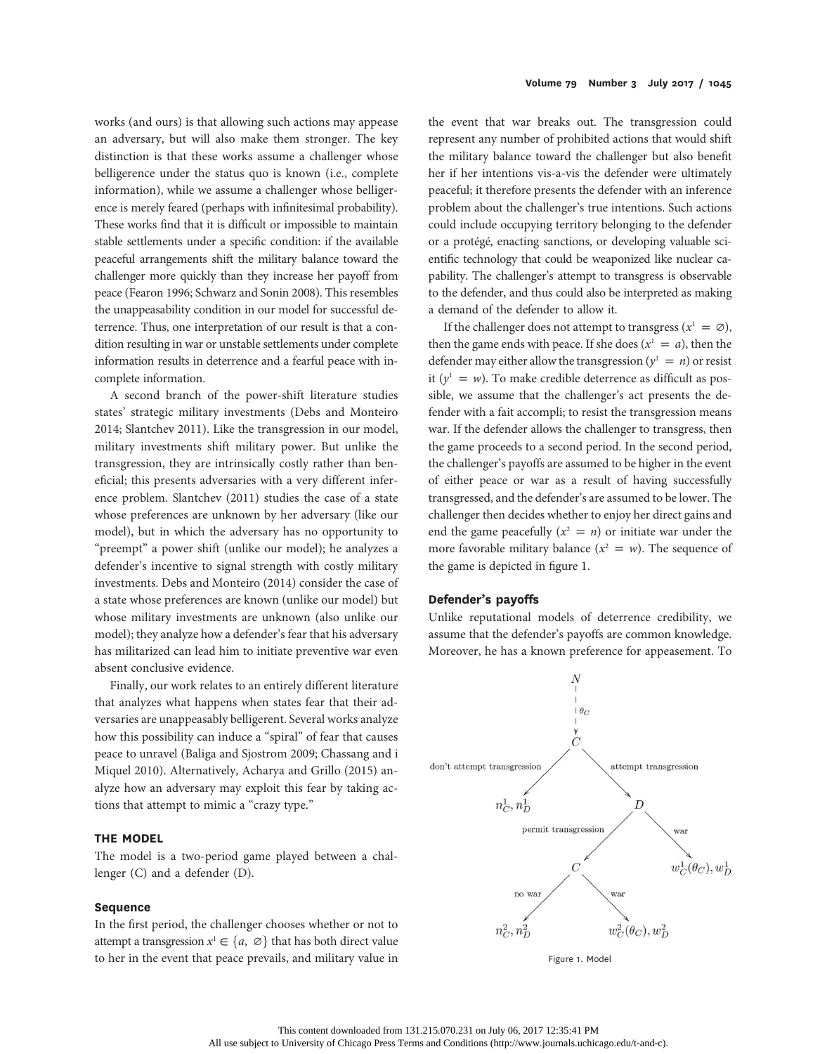works (and ours) is that allowing such actions may appease an adversary, but will also make them stronger. The key distinction is that these works assume a challenger whose belligerence under the status quo is known (i.e., complete information), while we assume a challenger whose belligerence is merely feared (perhaps with infinitesimal probability). These works find that it is difficult or impossible to maintain stable settlements under a specific condition: if the available peaceful arrangements shift the military balance toward the challenger more quickly than they increase her payoff from peace (Fearon 1996; Schwarz and Sonin 2008). This resembles the unappeasability condition in our model for successful deterrence. Thus, one interpretation of our result is that a condition resulting in war or unstable settlements under complete information results in deterrence and a fearful peace with incomplete information.

A second branch of the power-shift literature studies states' strategic military investments (Debs and Monteiro 2014; Slantchev 2011). Like the transgression in our model, military investments shift military power. But unlike the transgression, they are intrinsically costly rather than beneficial; this presents adversaries with a very different inference problem. Slantchev (2011) studies the case of a state whose preferences are unknown by her adversary (like our model), but in which the adversary has no opportunity to "preempt" a power shift (unlike our model); he analyzes a defender's incentive to signal strength with costly military investments. Debs and Monteiro (2014) consider the case of a state whose preferences are known (unlike our model) but whose military investments are unknown (also unlike our model); they analyze how a defender's fear that his adversary has militarized can lead him to initiate preventive war even absent conclusive evidence.

Finally, our work relates to an entirely different literature that analyzes what happens when states fear that their adversaries are unappeasably belligerent. Several works analyze how this possibility can induce a "spiral" of fear that causes peace to unravel (Baliga and Sjostrom 2009; Chassang and i Miquel 2010). Alternatively, Acharya and Grillo (2015) analyze how an adversary may exploit this fear by taking actions that attempt to mimic a "crazy type."

#### THE MODEL

The model is a two-period game played between a challenger (C) and a defender (D).

# Sequence

In the first period, the challenger chooses whether or not to attempt a transgression  $x^1 \in \{a, \emptyset\}$  that has both direct value to her in the event that peace prevails, and military value in

the event that war breaks out. The transgression could represent any number of prohibited actions that would shift the military balance toward the challenger but also benefit her if her intentions vis-a-vis the defender were ultimately peaceful; it therefore presents the defender with an inference problem about the challenger's true intentions. Such actions could include occupying territory belonging to the defender or a protégé, enacting sanctions, or developing valuable scientific technology that could be weaponized like nuclear capability. The challenger's attempt to transgress is observable to the defender, and thus could also be interpreted as making a demand of the defender to allow it.

If the challenger does not attempt to transgress ( $x^1 = \emptyset$ ), then the game ends with peace. If she does  $(x^1 = a)$ , then the defender may either allow the transgression ( $y^1 = n$ ) or resist it ( $y^1 = w$ ). To make credible deterrence as difficult as possible, we assume that the challenger's act presents the defender with a fait accompli; to resist the transgression means war. If the defender allows the challenger to transgress, then the game proceeds to a second period. In the second period, the challenger's payoffs are assumed to be higher in the event of either peace or war as a result of having successfully transgressed, and the defender's are assumed to be lower. The challenger then decides whether to enjoy her direct gains and end the game peacefully  $(x^2 = n)$  or initiate war under the more favorable military balance  $(x^2 = w)$ . The sequence of the game is depicted in figure 1.

#### Defender's payoffs

Unlike reputational models of deterrence credibility, we assume that the defender's payoffs are common knowledge. Moreover, he has a known preference for appeasement. To



Figure 1. Model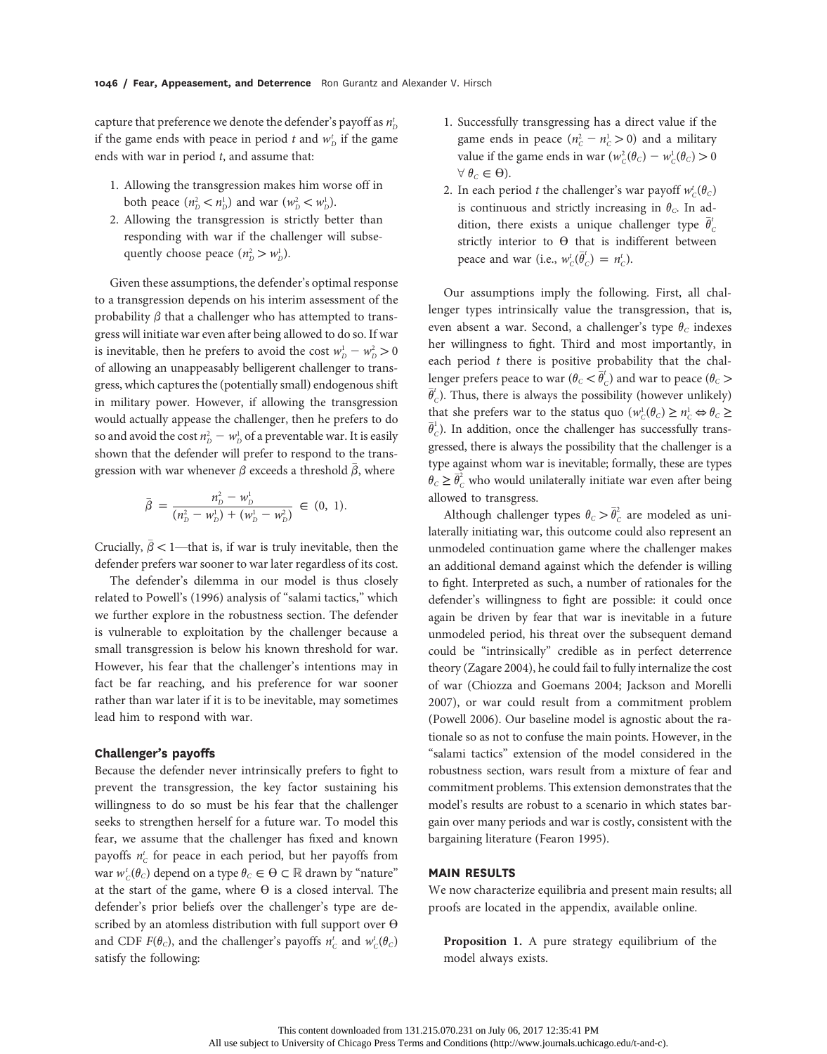capture that preference we denote the defender's payoff as  $n_{\scriptscriptstyle D}^t$ if the game ends with peace in period  $t$  and  $w_p^t$  if the game ends with war in period  $t$ , and assume that:

- 1. Allowing the transgression makes him worse off in both peace  $(n_D^2 < n_D^1)$  and war  $(w_D^2 < w_D^1)$ .
- 2. Allowing the transgression is strictly better than responding with war if the challenger will subsequently choose peace  $(n_D^2 > w_D^1)$ .

Given these assumptions, the defender's optimal response to a transgression depends on his interim assessment of the probability  $\beta$  that a challenger who has attempted to transgress will initiate war even after being allowed to do so. If war is inevitable, then he prefers to avoid the cost  $w_{D}^{1} - w_{D}^{2} > 0$ of allowing an unappeasably belligerent challenger to transgress, which captures the (potentially small) endogenous shift in military power. However, if allowing the transgression would actually appease the challenger, then he prefers to do so and avoid the cost  $n_D^2 - w_D^1$  of a preventable war. It is easily shown that the defender will prefer to respond to the transgression with war whenever  $\beta$  exceeds a threshold  $\beta$ , where

$$
\bar{\beta} = \frac{n_D^2 - w_D^1}{(n_D^2 - w_D^1) + (w_D^1 - w_D^2)} \in (0, 1).
$$

Crucially,  $\bar{\beta}$  < 1—that is, if war is truly inevitable, then the defender prefers war sooner to war later regardless of its cost.

The defender's dilemma in our model is thus closely related to Powell's (1996) analysis of "salami tactics," which we further explore in the robustness section. The defender is vulnerable to exploitation by the challenger because a small transgression is below his known threshold for war. However, his fear that the challenger's intentions may in fact be far reaching, and his preference for war sooner rather than war later if it is to be inevitable, may sometimes lead him to respond with war.

## Challenger's payoffs

Because the defender never intrinsically prefers to fight to prevent the transgression, the key factor sustaining his willingness to do so must be his fear that the challenger seeks to strengthen herself for a future war. To model this fear, we assume that the challenger has fixed and known payoffs  $n_c^t$  for peace in each period, but her payoffs from war  $w_c^t(\theta_c)$  depend on a type  $\theta_c \in \Theta \subset \mathbb{R}$  drawn by "nature" at the start of the game, where  $\Theta$  is a closed interval. The defender's prior beliefs over the challenger's type are described by an atomless distribution with full support over  $\Theta$ and CDF  $F(\theta_c)$ , and the challenger's payoffs  $n_c^t$  and  $w_c^t(\theta_c)$ satisfy the following:

- 1. Successfully transgressing has a direct value if the game ends in peace  $(n_c^2 - n_c^1 > 0)$  and a military value if the game ends in war  $(w_c^2(\theta_c) - w_c^1(\theta_c) > 0$  $\forall \theta_c \in \Theta$ ).
- 2. In each period t the challenger's war payoff  $w_c^t(\theta_c)$ is continuous and strictly increasing in  $\theta_c$ . In addition, there exists a unique challenger type  $\bar{\theta}'_c$  $\epsilon$ strictly interior to  $\Theta$  that is indifferent between peace and war (i.e.,  $w_c^t(\overline{\theta}_c^t) = n_c^t$ ).

Our assumptions imply the following. First, all challenger types intrinsically value the transgression, that is, even absent a war. Second, a challenger's type  $\theta_c$  indexes her willingness to fight. Third and most importantly, in each period  $t$  there is positive probability that the challenger prefers peace to war  $(\theta_c < \overline{\theta}_c^t)$  and war to peace  $(\theta_c >$  $\bar{\theta}_c^t$ ). Thus, there is always the possibility (however unlikely) that she prefers war to the status quo  $(w_c^1(\theta_c) \ge n_c^1 \Leftrightarrow \theta_c \ge n_c^1)$  $\bar{\theta}_c^1$ ). In addition, once the challenger has successfully transgressed, there is always the possibility that the challenger is a type against whom war is inevitable; formally, these are types  $\theta_c \ge \bar{\theta}_c^2$  who would unilaterally initiate war even after being allowed to transgress.

Although challenger types  $\theta_C > \overline{\theta}_C^2$  are modeled as unilaterally initiating war, this outcome could also represent an unmodeled continuation game where the challenger makes an additional demand against which the defender is willing to fight. Interpreted as such, a number of rationales for the defender's willingness to fight are possible: it could once again be driven by fear that war is inevitable in a future unmodeled period, his threat over the subsequent demand could be "intrinsically" credible as in perfect deterrence theory (Zagare 2004), he could fail to fully internalize the cost of war (Chiozza and Goemans 2004; Jackson and Morelli 2007), or war could result from a commitment problem (Powell 2006). Our baseline model is agnostic about the rationale so as not to confuse the main points. However, in the "salami tactics" extension of the model considered in the robustness section, wars result from a mixture of fear and commitment problems. This extension demonstrates that the model's results are robust to a scenario in which states bargain over many periods and war is costly, consistent with the bargaining literature (Fearon 1995).

# MAIN RESULTS

We now characterize equilibria and present main results; all proofs are located in the appendix, available online.

Proposition 1. A pure strategy equilibrium of the model always exists.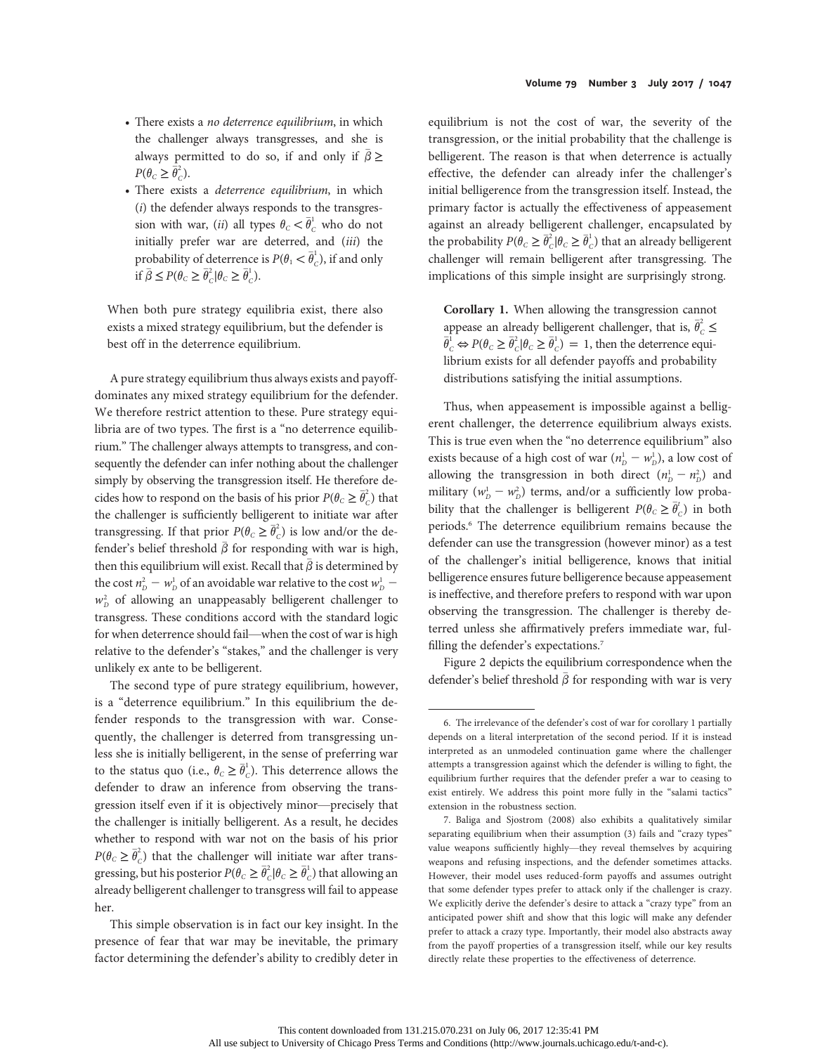- There exists a no deterrence equilibrium, in which the challenger always transgresses, and she is always permitted to do so, if and only if  $\beta \ge$  $P(\theta_C \geq \overline{\theta}_C^2).$
- There exists a deterrence equilibrium, in which  $(i)$  the defender always responds to the transgression with war, (*ii*) all types  $\theta_c < \overline{\theta}_c^1$  who do not initially prefer war are deterred, and (iii) the probability of deterrence is  $P(\theta_1 < \overline{\theta}_c^1)$ , if and only if  $\bar{\beta} \le P(\theta_C \ge \bar{\theta}_C^2 | \theta_C \ge \bar{\theta}_C^1)$ .

When both pure strategy equilibria exist, there also exists a mixed strategy equilibrium, but the defender is best off in the deterrence equilibrium.

A pure strategy equilibrium thus always exists and payoffdominates any mixed strategy equilibrium for the defender. We therefore restrict attention to these. Pure strategy equilibria are of two types. The first is a "no deterrence equilibrium." The challenger always attempts to transgress, and consequently the defender can infer nothing about the challenger simply by observing the transgression itself. He therefore decides how to respond on the basis of his prior  $P(\theta_C \geq \overline{\theta}_C^2)$  that the challenger is sufficiently belligerent to initiate war after transgressing. If that prior  $P(\theta_c \geq \overline{\theta}_c^2)$  is low and/or the defender's belief threshold  $\bar{\beta}$  for responding with war is high, then this equilibrium will exist. Recall that  $\bar{\beta}$  is determined by the cost  $n_D^2 - w_D^1$  of an avoidable war relative to the cost  $w_D^1$  –  $w_p^2$  of allowing an unappeasably belligerent challenger to transgress. These conditions accord with the standard logic for when deterrence should fail—when the cost of war is high relative to the defender's "stakes," and the challenger is very unlikely ex ante to be belligerent.

The second type of pure strategy equilibrium, however, is a "deterrence equilibrium." In this equilibrium the defender responds to the transgression with war. Consequently, the challenger is deterred from transgressing unless she is initially belligerent, in the sense of preferring war to the status quo (i.e.,  $\theta_C \geq \overline{\theta}_C^1$ ). This deterrence allows the defender to draw an inference from observing the transgression itself even if it is objectively minor—precisely that the challenger is initially belligerent. As a result, he decides whether to respond with war not on the basis of his prior  $P(\theta_c \geq \overline{\theta}_c^2)$  that the challenger will initiate war after transgressing, but his posterior  $P(\theta_C \geq \overline{\theta}_C^1 | \theta_C \geq \overline{\theta}_C^1)$  that allowing an already belligerent challenger to transgress will fail to appease her.

This simple observation is in fact our key insight. In the presence of fear that war may be inevitable, the primary factor determining the defender's ability to credibly deter in

equilibrium is not the cost of war, the severity of the transgression, or the initial probability that the challenge is belligerent. The reason is that when deterrence is actually effective, the defender can already infer the challenger's initial belligerence from the transgression itself. Instead, the primary factor is actually the effectiveness of appeasement against an already belligerent challenger, encapsulated by the probability  $P(\theta_C \geq \overline{\theta}_C^1 | \theta_C \geq \overline{\theta}_C^1)$  that an already belligerent challenger will remain belligerent after transgressing. The implications of this simple insight are surprisingly strong.

Corollary 1. When allowing the transgression cannot appease an already belligerent challenger, that is,  $\bar{\theta}_c^2 \leq$  $\bar{\theta}_c^1 \Leftrightarrow P(\theta_c \geq \bar{\theta}_c^1 | \theta_c \geq \bar{\theta}_c^1) = 1$ , then the deterrence equilibrium exists for all defender payoffs and probability distributions satisfying the initial assumptions.

Thus, when appeasement is impossible against a belligerent challenger, the deterrence equilibrium always exists. This is true even when the "no deterrence equilibrium" also exists because of a high cost of war  $(n_D^1 - w_D^1)$ , a low cost of allowing the transgression in both direct  $(n_D^1 - n_D^2)$  and military ( $w_p^1 - w_p^2$ ) terms, and/or a sufficiently low probability that the challenger is belligerent  $P(\theta_c \geq \overline{\theta}_c^t)$  in both periods.6 The deterrence equilibrium remains because the defender can use the transgression (however minor) as a test of the challenger's initial belligerence, knows that initial belligerence ensures future belligerence because appeasement is ineffective, and therefore prefers to respond with war upon observing the transgression. The challenger is thereby deterred unless she affirmatively prefers immediate war, fulfilling the defender's expectations.<sup>7</sup>

Figure 2 depicts the equilibrium correspondence when the defender's belief threshold  $\bar{\beta}$  for responding with war is very

<sup>6.</sup> The irrelevance of the defender's cost of war for corollary 1 partially depends on a literal interpretation of the second period. If it is instead interpreted as an unmodeled continuation game where the challenger attempts a transgression against which the defender is willing to fight, the equilibrium further requires that the defender prefer a war to ceasing to exist entirely. We address this point more fully in the "salami tactics" extension in the robustness section.

<sup>7.</sup> Baliga and Sjostrom (2008) also exhibits a qualitatively similar separating equilibrium when their assumption (3) fails and "crazy types" value weapons sufficiently highly—they reveal themselves by acquiring weapons and refusing inspections, and the defender sometimes attacks. However, their model uses reduced-form payoffs and assumes outright that some defender types prefer to attack only if the challenger is crazy. We explicitly derive the defender's desire to attack a "crazy type" from an anticipated power shift and show that this logic will make any defender prefer to attack a crazy type. Importantly, their model also abstracts away from the payoff properties of a transgression itself, while our key results directly relate these properties to the effectiveness of deterrence.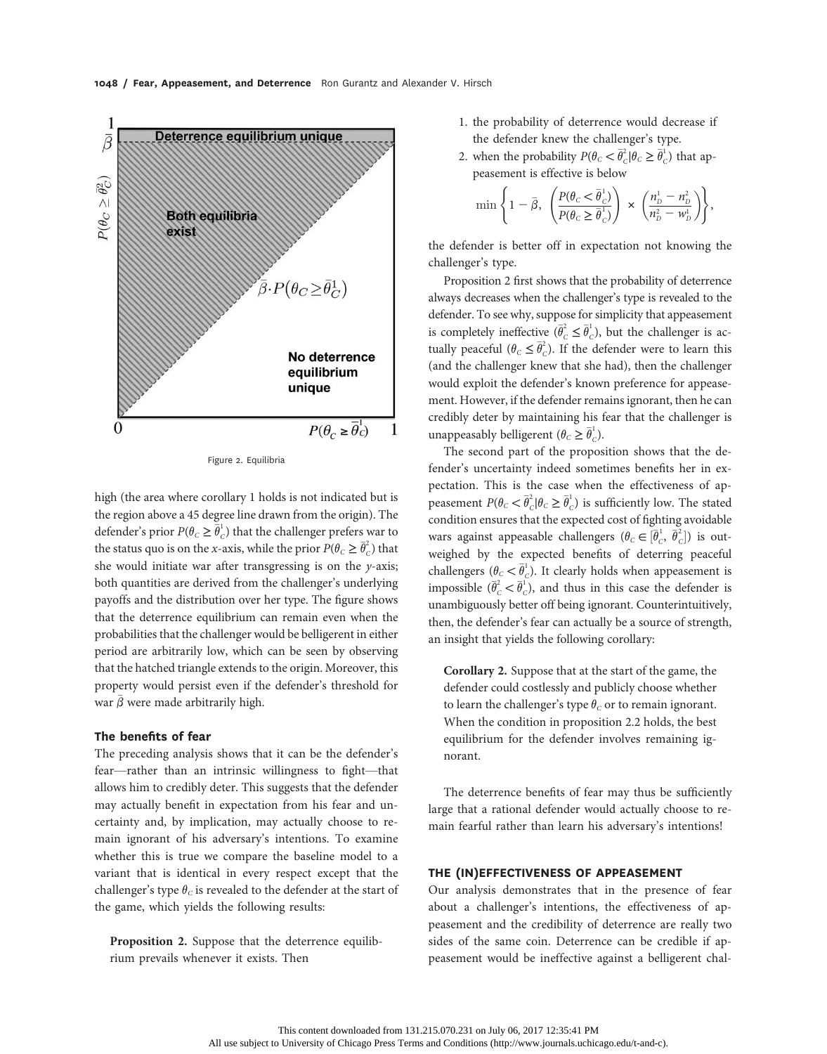

Figure 2. Equilibria

high (the area where corollary 1 holds is not indicated but is the region above a 45 degree line drawn from the origin). The defender's prior  $P(\theta_C \geq \overline{\theta}_C^1)$  that the challenger prefers war to the status quo is on the x-axis, while the prior  $P(\theta_C \geq \overline{\theta}_C^2)$  that she would initiate war after transgressing is on the  $y$ -axis; both quantities are derived from the challenger's underlying payoffs and the distribution over her type. The figure shows that the deterrence equilibrium can remain even when the probabilities that the challenger would be belligerent in either period are arbitrarily low, which can be seen by observing that the hatched triangle extends to the origin. Moreover, this property would persist even if the defender's threshold for war  $\bar{\beta}$  were made arbitrarily high.

## The benefits of fear

The preceding analysis shows that it can be the defender's fear—rather than an intrinsic willingness to fight—that allows him to credibly deter. This suggests that the defender may actually benefit in expectation from his fear and uncertainty and, by implication, may actually choose to remain ignorant of his adversary's intentions. To examine whether this is true we compare the baseline model to a variant that is identical in every respect except that the challenger's type  $\theta_c$  is revealed to the defender at the start of the game, which yields the following results:

Proposition 2. Suppose that the deterrence equilibrium prevails whenever it exists. Then

- 1. the probability of deterrence would decrease if the defender knew the challenger's type.
- 2. when the probability  $P(\theta_C < \overline{\theta}_C^2 | \theta_C \ge \overline{\theta}_C^1)$  that appeasement is effective is below

$$
\min\left\{1-\bar{\beta},\ \left(\frac{P(\theta_{C}&\bar{\theta}_{C}^{1})}{P(\theta_{C}\geq\bar{\theta}_{C}^{1})}\right)\times\left(\frac{n_{D}^{1}-n_{D}^{2}}{n_{D}^{2}-w_{D}^{1}}\right)\right\},\right\}
$$

the defender is better off in expectation not knowing the challenger's type.

Proposition 2 first shows that the probability of deterrence always decreases when the challenger's type is revealed to the defender. To see why, suppose for simplicity that appeasement is completely ineffective  $(\bar{\theta}_c^2 \leq \bar{\theta}_c^1)$ , but the challenger is actually peaceful  $(\theta_c \leq \overline{\theta}_c^2)$ . If the defender were to learn this (and the challenger knew that she had), then the challenger would exploit the defender's known preference for appeasement. However, if the defender remains ignorant, then he can credibly deter by maintaining his fear that the challenger is unappeasably belligerent  $(\theta_c \geq \bar{\theta}_c^1)$ .

The second part of the proposition shows that the defender's uncertainty indeed sometimes benefits her in expectation. This is the case when the effectiveness of appeasement  $P(\theta_C < \overline{\theta}_C^2 | \theta_C \ge \overline{\theta}_C^1)$  is sufficiently low. The stated condition ensures that the expected cost of fighting avoidable wars against appeasable challengers  $(\theta_c \in [\bar{\theta}_c^1, \bar{\theta}_c^2])$  is out-<br>visited by the symethed bandite of determing peaceful ward against appearance changes  $(e_C \subseteq [e_C, e_C])$  is our weighed by the expected benefits of deterring peaceful challengers ( $\theta_C < \overline{\theta}_C^1$ ). It clearly holds when appeasement is impossible  $(\bar{\theta}_c^2 < \bar{\theta}_c^1)$ , and thus in this case the defender is unambiguously better off being ignorant. Counterintuitively, then, the defender's fear can actually be a source of strength, an insight that yields the following corollary:

Corollary 2. Suppose that at the start of the game, the defender could costlessly and publicly choose whether to learn the challenger's type  $\theta_c$  or to remain ignorant. When the condition in proposition 2.2 holds, the best equilibrium for the defender involves remaining ignorant.

The deterrence benefits of fear may thus be sufficiently large that a rational defender would actually choose to remain fearful rather than learn his adversary's intentions!

# THE (IN)EFFECTIVENESS OF APPEASEMENT

Our analysis demonstrates that in the presence of fear about a challenger's intentions, the effectiveness of appeasement and the credibility of deterrence are really two sides of the same coin. Deterrence can be credible if appeasement would be ineffective against a belligerent chal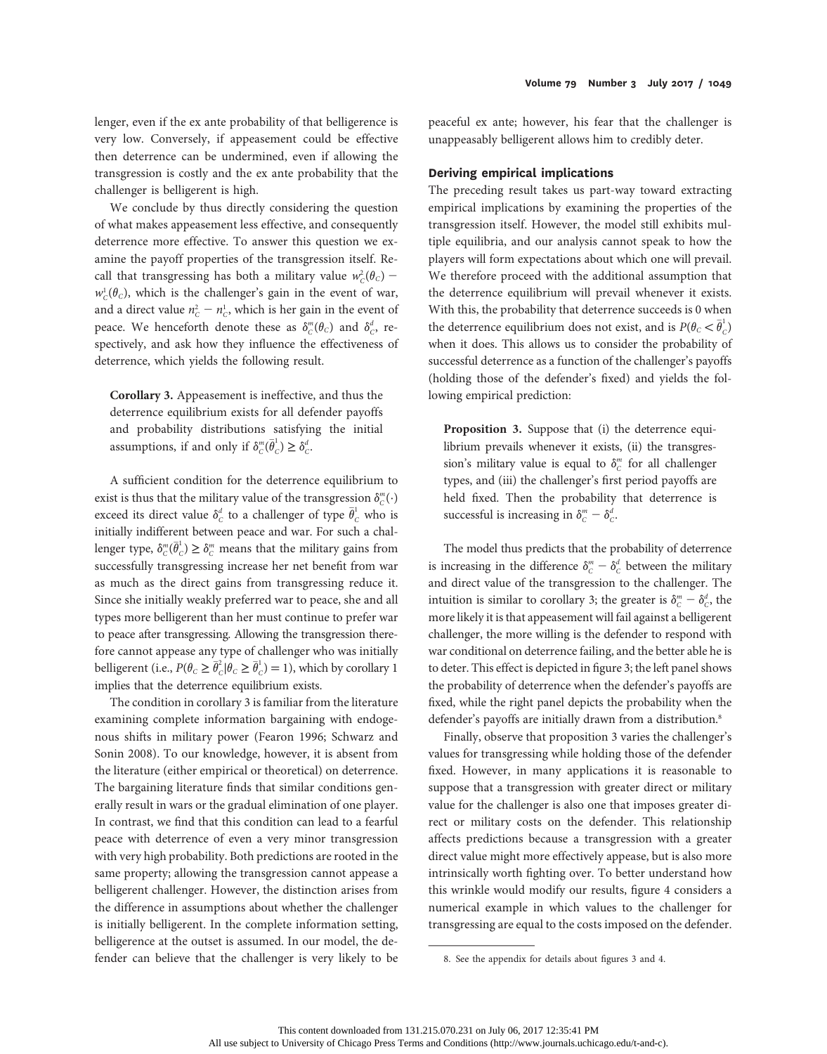lenger, even if the ex ante probability of that belligerence is very low. Conversely, if appeasement could be effective then deterrence can be undermined, even if allowing the transgression is costly and the ex ante probability that the challenger is belligerent is high.

We conclude by thus directly considering the question of what makes appeasement less effective, and consequently deterrence more effective. To answer this question we examine the payoff properties of the transgression itself. Recall that transgressing has both a military value  $w_c^2(\theta_c)$  –  $w_c^1(\theta_c)$ , which is the challenger's gain in the event of war, and a direct value  $n_c^2 - n_c^1$ , which is her gain in the event of peace. We henceforth denote these as  $\delta^m_C(\theta_C)$  and  $\delta^d_C$ , respectively, and ask how they influence the effectiveness of deterrence, which yields the following result.

Corollary 3. Appeasement is ineffective, and thus the deterrence equilibrium exists for all defender payoffs and probability distributions satisfying the initial assumptions, if and only if  $\delta_C^m(\overline{\theta}_C^1) \geq \delta_C^d$ .

A sufficient condition for the deterrence equilibrium to exist is thus that the military value of the transgression  $\delta_c^m(\cdot)$ exceed its direct value  $\delta_c^d$  to a challenger of type  $\bar{\theta}_c^1$  who is initially indifferent between peace and war. For such a challenger type,  $\delta^m_C(\bar{\theta}_C^1) \geq \delta^m_C$  means that the military gains from successfully transgressing increase her net benefit from war as much as the direct gains from transgressing reduce it. Since she initially weakly preferred war to peace, she and all types more belligerent than her must continue to prefer war to peace after transgressing. Allowing the transgression therefore cannot appease any type of challenger who was initially belligerent (i.e.,  $P(\theta_C \geq \overline{\theta}_C^2 | \theta_C \geq \overline{\theta}_C^1) = 1$ ), which by corollary 1 implies that the deterrence equilibrium exists.

The condition in corollary 3 is familiar from the literature examining complete information bargaining with endogenous shifts in military power (Fearon 1996; Schwarz and Sonin 2008). To our knowledge, however, it is absent from the literature (either empirical or theoretical) on deterrence. The bargaining literature finds that similar conditions generally result in wars or the gradual elimination of one player. In contrast, we find that this condition can lead to a fearful peace with deterrence of even a very minor transgression with very high probability. Both predictions are rooted in the same property; allowing the transgression cannot appease a belligerent challenger. However, the distinction arises from the difference in assumptions about whether the challenger is initially belligerent. In the complete information setting, belligerence at the outset is assumed. In our model, the defender can believe that the challenger is very likely to be

peaceful ex ante; however, his fear that the challenger is unappeasably belligerent allows him to credibly deter.

## Deriving empirical implications

The preceding result takes us part-way toward extracting empirical implications by examining the properties of the transgression itself. However, the model still exhibits multiple equilibria, and our analysis cannot speak to how the players will form expectations about which one will prevail. We therefore proceed with the additional assumption that the deterrence equilibrium will prevail whenever it exists. With this, the probability that deterrence succeeds is 0 when the deterrence equilibrium does not exist, and is  $P(\theta_{C} < \overline{\theta}_{C}^{1})$ when it does. This allows us to consider the probability of successful deterrence as a function of the challenger's payoffs (holding those of the defender's fixed) and yields the following empirical prediction:

Proposition 3. Suppose that (i) the deterrence equilibrium prevails whenever it exists, (ii) the transgression's military value is equal to  $\delta^m_C$  for all challenger types, and (iii) the challenger's first period payoffs are held fixed. Then the probability that deterrence is successful is increasing in  $\delta^m_C - \delta^d_C$ .

The model thus predicts that the probability of deterrence is increasing in the difference  $\delta_c^m$  –  $\delta_c^d$  between the military and direct value of the transgression to the challenger. The intuition is similar to corollary 3; the greater is  $\delta^m_{\rm c}-\delta^d_{\rm c}$ , the more likely it is that appeasement will fail against a belligerent challenger, the more willing is the defender to respond with war conditional on deterrence failing, and the better able he is to deter. This effect is depicted in figure 3; the left panel shows the probability of deterrence when the defender's payoffs are fixed, while the right panel depicts the probability when the defender's payoffs are initially drawn from a distribution.<sup>8</sup>

Finally, observe that proposition 3 varies the challenger's values for transgressing while holding those of the defender fixed. However, in many applications it is reasonable to suppose that a transgression with greater direct or military value for the challenger is also one that imposes greater direct or military costs on the defender. This relationship affects predictions because a transgression with a greater direct value might more effectively appease, but is also more intrinsically worth fighting over. To better understand how this wrinkle would modify our results, figure 4 considers a numerical example in which values to the challenger for transgressing are equal to the costs imposed on the defender.

<sup>8.</sup> See the appendix for details about figures 3 and 4.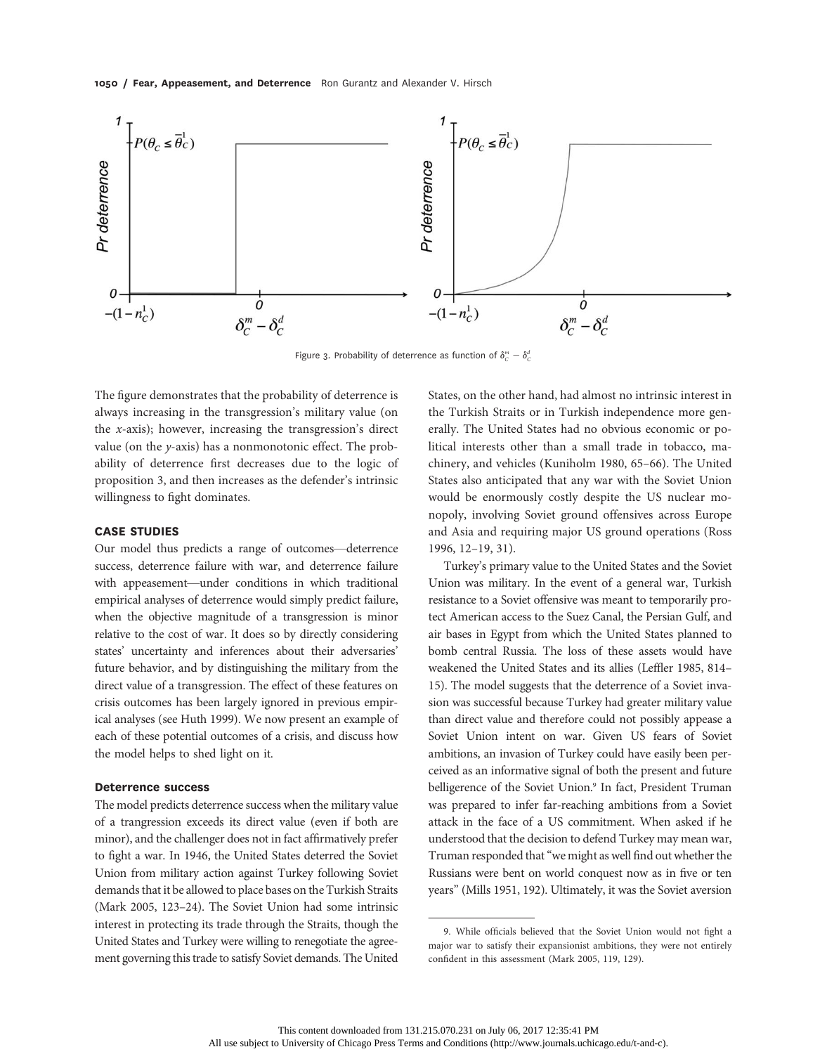

Figure 3. Probability of deterrence as function of  $\delta_c^m - \delta_c^d$ 

The figure demonstrates that the probability of deterrence is always increasing in the transgression's military value (on the  $x$ -axis); however, increasing the transgression's direct value (on the y-axis) has a nonmonotonic effect. The probability of deterrence first decreases due to the logic of proposition 3, and then increases as the defender's intrinsic willingness to fight dominates.

#### CASE STUDIES

Our model thus predicts a range of outcomes—deterrence success, deterrence failure with war, and deterrence failure with appeasement—under conditions in which traditional empirical analyses of deterrence would simply predict failure, when the objective magnitude of a transgression is minor relative to the cost of war. It does so by directly considering states' uncertainty and inferences about their adversaries' future behavior, and by distinguishing the military from the direct value of a transgression. The effect of these features on crisis outcomes has been largely ignored in previous empirical analyses (see Huth 1999). We now present an example of each of these potential outcomes of a crisis, and discuss how the model helps to shed light on it.

## Deterrence success

The model predicts deterrence success when the military value of a trangression exceeds its direct value (even if both are minor), and the challenger does not in fact affirmatively prefer to fight a war. In 1946, the United States deterred the Soviet Union from military action against Turkey following Soviet demands that it be allowed to place bases on the Turkish Straits (Mark 2005, 123–24). The Soviet Union had some intrinsic interest in protecting its trade through the Straits, though the United States and Turkey were willing to renegotiate the agreement governing this trade to satisfy Soviet demands. The United

States, on the other hand, had almost no intrinsic interest in the Turkish Straits or in Turkish independence more generally. The United States had no obvious economic or political interests other than a small trade in tobacco, machinery, and vehicles (Kuniholm 1980, 65–66). The United States also anticipated that any war with the Soviet Union would be enormously costly despite the US nuclear monopoly, involving Soviet ground offensives across Europe and Asia and requiring major US ground operations (Ross 1996, 12–19, 31).

Turkey's primary value to the United States and the Soviet Union was military. In the event of a general war, Turkish resistance to a Soviet offensive was meant to temporarily protect American access to the Suez Canal, the Persian Gulf, and air bases in Egypt from which the United States planned to bomb central Russia. The loss of these assets would have weakened the United States and its allies (Leffler 1985, 814– 15). The model suggests that the deterrence of a Soviet invasion was successful because Turkey had greater military value than direct value and therefore could not possibly appease a Soviet Union intent on war. Given US fears of Soviet ambitions, an invasion of Turkey could have easily been perceived as an informative signal of both the present and future belligerence of the Soviet Union.<sup>9</sup> In fact, President Truman was prepared to infer far-reaching ambitions from a Soviet attack in the face of a US commitment. When asked if he understood that the decision to defend Turkey may mean war, Truman responded that"we might as well find out whether the Russians were bent on world conquest now as in five or ten years" (Mills 1951, 192). Ultimately, it was the Soviet aversion

<sup>9.</sup> While officials believed that the Soviet Union would not fight a major war to satisfy their expansionist ambitions, they were not entirely confident in this assessment (Mark 2005, 119, 129).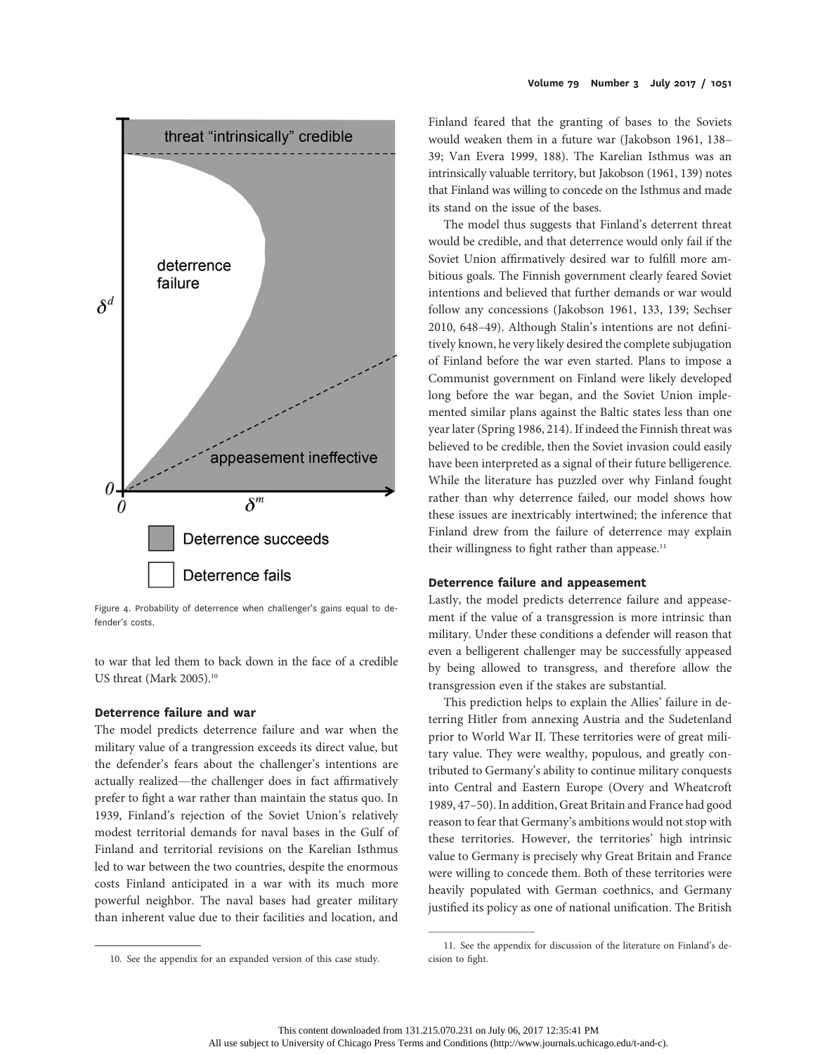

Figure 4. Probability of deterrence when challenger's gains equal to defender's costs.

to war that led them to back down in the face of a credible US threat (Mark 2005).<sup>10</sup>

## Deterrence failure and war

The model predicts deterrence failure and war when the military value of a trangression exceeds its direct value, but the defender's fears about the challenger's intentions are actually realized—the challenger does in fact affirmatively prefer to fight a war rather than maintain the status quo. In 1939, Finland's rejection of the Soviet Union's relatively modest territorial demands for naval bases in the Gulf of Finland and territorial revisions on the Karelian Isthmus led to war between the two countries, despite the enormous costs Finland anticipated in a war with its much more powerful neighbor. The naval bases had greater military than inherent value due to their facilities and location, and

Finland feared that the granting of bases to the Soviets would weaken them in a future war (Jakobson 1961, 138– 39; Van Evera 1999, 188). The Karelian Isthmus was an intrinsically valuable territory, but Jakobson (1961, 139) notes that Finland was willing to concede on the Isthmus and made its stand on the issue of the bases.

The model thus suggests that Finland's deterrent threat would be credible, and that deterrence would only fail if the Soviet Union affirmatively desired war to fulfill more ambitious goals. The Finnish government clearly feared Soviet intentions and believed that further demands or war would follow any concessions (Jakobson 1961, 133, 139; Sechser 2010, 648–49). Although Stalin's intentions are not definitively known, he very likely desired the complete subjugation of Finland before the war even started. Plans to impose a Communist government on Finland were likely developed long before the war began, and the Soviet Union implemented similar plans against the Baltic states less than one year later (Spring 1986, 214). If indeed the Finnish threat was believed to be credible, then the Soviet invasion could easily have been interpreted as a signal of their future belligerence. While the literature has puzzled over why Finland fought rather than why deterrence failed, our model shows how these issues are inextricably intertwined; the inference that Finland drew from the failure of deterrence may explain their willingness to fight rather than appease. $11$ 

#### Deterrence failure and appeasement

Lastly, the model predicts deterrence failure and appeasement if the value of a transgression is more intrinsic than military. Under these conditions a defender will reason that even a belligerent challenger may be successfully appeased by being allowed to transgress, and therefore allow the transgression even if the stakes are substantial.

This prediction helps to explain the Allies' failure in deterring Hitler from annexing Austria and the Sudetenland prior to World War II. These territories were of great military value. They were wealthy, populous, and greatly contributed to Germany's ability to continue military conquests into Central and Eastern Europe (Overy and Wheatcroft 1989, 47–50). In addition, Great Britain and France had good reason to fear that Germany's ambitions would not stop with these territories. However, the territories' high intrinsic value to Germany is precisely why Great Britain and France were willing to concede them. Both of these territories were heavily populated with German coethnics, and Germany justified its policy as one of national unification. The British

<sup>10.</sup> See the appendix for an expanded version of this case study.

<sup>11.</sup> See the appendix for discussion of the literature on Finland's decision to fight.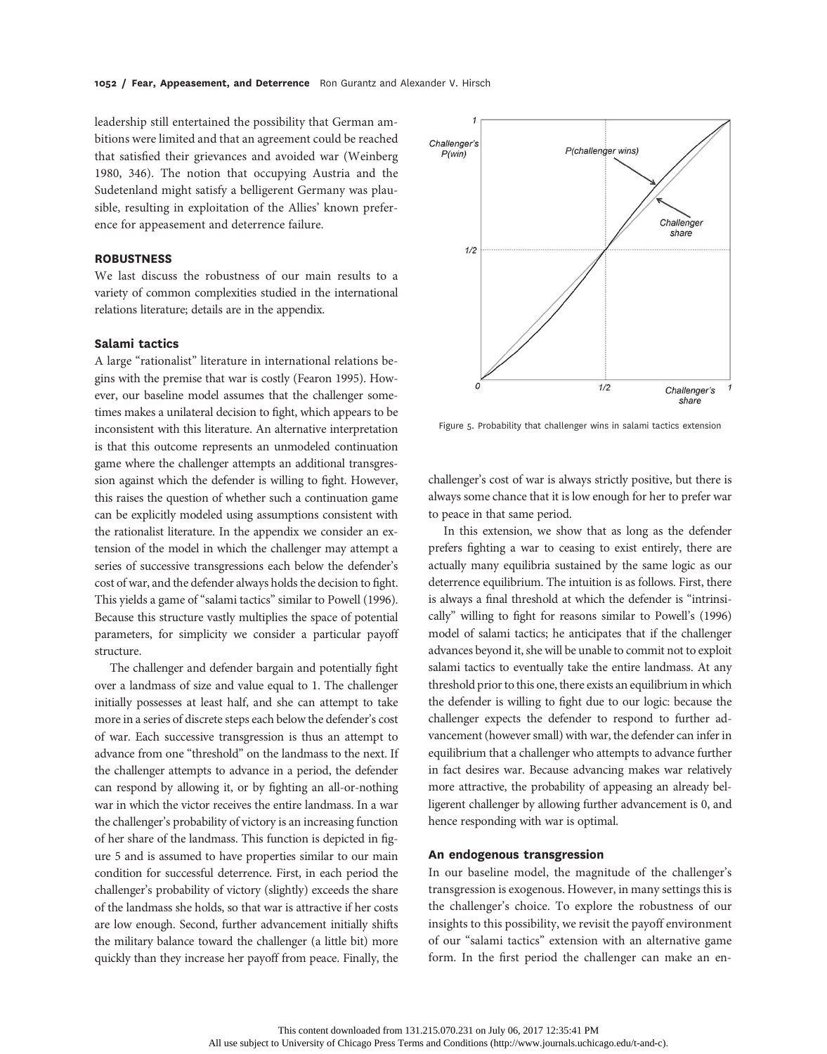leadership still entertained the possibility that German ambitions were limited and that an agreement could be reached that satisfied their grievances and avoided war (Weinberg 1980, 346). The notion that occupying Austria and the Sudetenland might satisfy a belligerent Germany was plausible, resulting in exploitation of the Allies' known preference for appeasement and deterrence failure.

# **ROBUSTNESS**

We last discuss the robustness of our main results to a variety of common complexities studied in the international relations literature; details are in the appendix.

## Salami tactics

A large "rationalist" literature in international relations begins with the premise that war is costly (Fearon 1995). However, our baseline model assumes that the challenger sometimes makes a unilateral decision to fight, which appears to be inconsistent with this literature. An alternative interpretation is that this outcome represents an unmodeled continuation game where the challenger attempts an additional transgression against which the defender is willing to fight. However, this raises the question of whether such a continuation game can be explicitly modeled using assumptions consistent with the rationalist literature. In the appendix we consider an extension of the model in which the challenger may attempt a series of successive transgressions each below the defender's cost of war, and the defender always holds the decision to fight. This yields a game of "salami tactics" similar to Powell (1996). Because this structure vastly multiplies the space of potential parameters, for simplicity we consider a particular payoff structure.

The challenger and defender bargain and potentially fight over a landmass of size and value equal to 1. The challenger initially possesses at least half, and she can attempt to take more in a series of discrete steps each below the defender's cost of war. Each successive transgression is thus an attempt to advance from one "threshold" on the landmass to the next. If the challenger attempts to advance in a period, the defender can respond by allowing it, or by fighting an all-or-nothing war in which the victor receives the entire landmass. In a war the challenger's probability of victory is an increasing function of her share of the landmass. This function is depicted in figure 5 and is assumed to have properties similar to our main condition for successful deterrence. First, in each period the challenger's probability of victory (slightly) exceeds the share of the landmass she holds, so that war is attractive if her costs are low enough. Second, further advancement initially shifts the military balance toward the challenger (a little bit) more quickly than they increase her payoff from peace. Finally, the



Figure 5. Probability that challenger wins in salami tactics extension

challenger's cost of war is always strictly positive, but there is always some chance that it is low enough for her to prefer war to peace in that same period.

In this extension, we show that as long as the defender prefers fighting a war to ceasing to exist entirely, there are actually many equilibria sustained by the same logic as our deterrence equilibrium. The intuition is as follows. First, there is always a final threshold at which the defender is "intrinsically" willing to fight for reasons similar to Powell's (1996) model of salami tactics; he anticipates that if the challenger advances beyond it, she will be unable to commit not to exploit salami tactics to eventually take the entire landmass. At any threshold prior to this one, there exists an equilibrium in which the defender is willing to fight due to our logic: because the challenger expects the defender to respond to further advancement (however small) with war, the defender can infer in equilibrium that a challenger who attempts to advance further in fact desires war. Because advancing makes war relatively more attractive, the probability of appeasing an already belligerent challenger by allowing further advancement is 0, and hence responding with war is optimal.

#### An endogenous transgression

In our baseline model, the magnitude of the challenger's transgression is exogenous. However, in many settings this is the challenger's choice. To explore the robustness of our insights to this possibility, we revisit the payoff environment of our "salami tactics" extension with an alternative game form. In the first period the challenger can make an en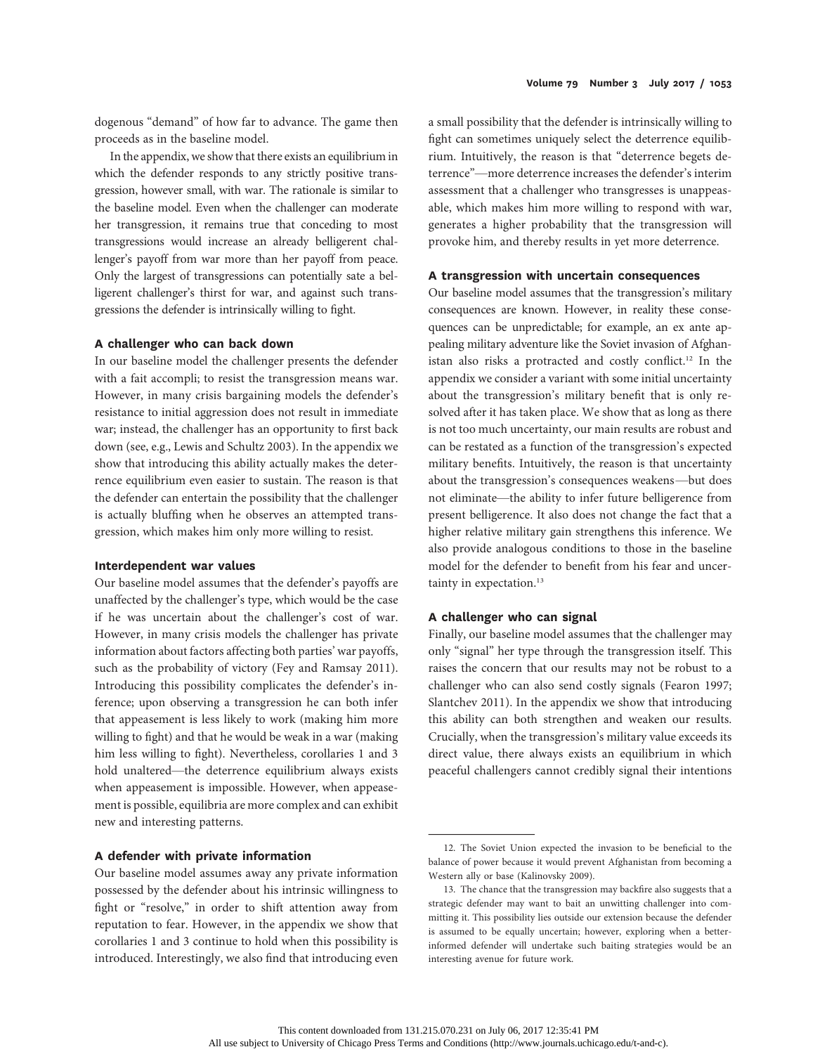dogenous "demand" of how far to advance. The game then proceeds as in the baseline model.

In the appendix, we show that there exists an equilibrium in which the defender responds to any strictly positive transgression, however small, with war. The rationale is similar to the baseline model. Even when the challenger can moderate her transgression, it remains true that conceding to most transgressions would increase an already belligerent challenger's payoff from war more than her payoff from peace. Only the largest of transgressions can potentially sate a belligerent challenger's thirst for war, and against such transgressions the defender is intrinsically willing to fight.

#### A challenger who can back down

In our baseline model the challenger presents the defender with a fait accompli; to resist the transgression means war. However, in many crisis bargaining models the defender's resistance to initial aggression does not result in immediate war; instead, the challenger has an opportunity to first back down (see, e.g., Lewis and Schultz 2003). In the appendix we show that introducing this ability actually makes the deterrence equilibrium even easier to sustain. The reason is that the defender can entertain the possibility that the challenger is actually bluffing when he observes an attempted transgression, which makes him only more willing to resist.

#### Interdependent war values

Our baseline model assumes that the defender's payoffs are unaffected by the challenger's type, which would be the case if he was uncertain about the challenger's cost of war. However, in many crisis models the challenger has private information about factors affecting both parties' war payoffs, such as the probability of victory (Fey and Ramsay 2011). Introducing this possibility complicates the defender's inference; upon observing a transgression he can both infer that appeasement is less likely to work (making him more willing to fight) and that he would be weak in a war (making him less willing to fight). Nevertheless, corollaries 1 and 3 hold unaltered—the deterrence equilibrium always exists when appeasement is impossible. However, when appeasement is possible, equilibria are more complex and can exhibit new and interesting patterns.

## A defender with private information

Our baseline model assumes away any private information possessed by the defender about his intrinsic willingness to fight or "resolve," in order to shift attention away from reputation to fear. However, in the appendix we show that corollaries 1 and 3 continue to hold when this possibility is introduced. Interestingly, we also find that introducing even a small possibility that the defender is intrinsically willing to fight can sometimes uniquely select the deterrence equilibrium. Intuitively, the reason is that "deterrence begets deterrence"—more deterrence increases the defender's interim assessment that a challenger who transgresses is unappeasable, which makes him more willing to respond with war, generates a higher probability that the transgression will provoke him, and thereby results in yet more deterrence.

# A transgression with uncertain consequences

Our baseline model assumes that the transgression's military consequences are known. However, in reality these consequences can be unpredictable; for example, an ex ante appealing military adventure like the Soviet invasion of Afghanistan also risks a protracted and costly conflict.<sup>12</sup> In the appendix we consider a variant with some initial uncertainty about the transgression's military benefit that is only resolved after it has taken place. We show that as long as there is not too much uncertainty, our main results are robust and can be restated as a function of the transgression's expected military benefits. Intuitively, the reason is that uncertainty about the transgression's consequences weakens—but does not eliminate—the ability to infer future belligerence from present belligerence. It also does not change the fact that a higher relative military gain strengthens this inference. We also provide analogous conditions to those in the baseline model for the defender to benefit from his fear and uncertainty in expectation.<sup>13</sup>

# A challenger who can signal

Finally, our baseline model assumes that the challenger may only "signal" her type through the transgression itself. This raises the concern that our results may not be robust to a challenger who can also send costly signals (Fearon 1997; Slantchev 2011). In the appendix we show that introducing this ability can both strengthen and weaken our results. Crucially, when the transgression's military value exceeds its direct value, there always exists an equilibrium in which peaceful challengers cannot credibly signal their intentions

<sup>12.</sup> The Soviet Union expected the invasion to be beneficial to the balance of power because it would prevent Afghanistan from becoming a Western ally or base (Kalinovsky 2009).

<sup>13.</sup> The chance that the transgression may backfire also suggests that a strategic defender may want to bait an unwitting challenger into committing it. This possibility lies outside our extension because the defender is assumed to be equally uncertain; however, exploring when a betterinformed defender will undertake such baiting strategies would be an interesting avenue for future work.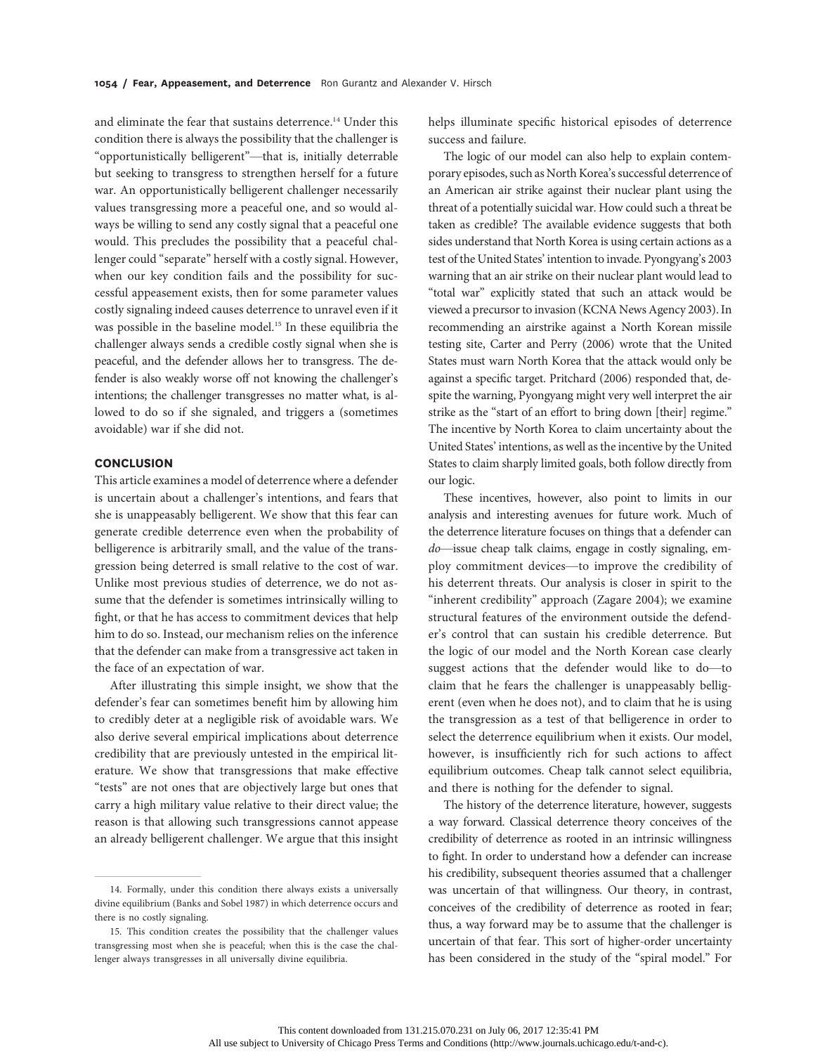and eliminate the fear that sustains deterrence.<sup>14</sup> Under this condition there is always the possibility that the challenger is "opportunistically belligerent"—that is, initially deterrable but seeking to transgress to strengthen herself for a future war. An opportunistically belligerent challenger necessarily values transgressing more a peaceful one, and so would always be willing to send any costly signal that a peaceful one would. This precludes the possibility that a peaceful challenger could "separate" herself with a costly signal. However, when our key condition fails and the possibility for successful appeasement exists, then for some parameter values costly signaling indeed causes deterrence to unravel even if it was possible in the baseline model.<sup>15</sup> In these equilibria the challenger always sends a credible costly signal when she is peaceful, and the defender allows her to transgress. The defender is also weakly worse off not knowing the challenger's intentions; the challenger transgresses no matter what, is allowed to do so if she signaled, and triggers a (sometimes avoidable) war if she did not.

# **CONCLUSION**

This article examines a model of deterrence where a defender is uncertain about a challenger's intentions, and fears that she is unappeasably belligerent. We show that this fear can generate credible deterrence even when the probability of belligerence is arbitrarily small, and the value of the transgression being deterred is small relative to the cost of war. Unlike most previous studies of deterrence, we do not assume that the defender is sometimes intrinsically willing to fight, or that he has access to commitment devices that help him to do so. Instead, our mechanism relies on the inference that the defender can make from a transgressive act taken in the face of an expectation of war.

After illustrating this simple insight, we show that the defender's fear can sometimes benefit him by allowing him to credibly deter at a negligible risk of avoidable wars. We also derive several empirical implications about deterrence credibility that are previously untested in the empirical literature. We show that transgressions that make effective "tests" are not ones that are objectively large but ones that carry a high military value relative to their direct value; the reason is that allowing such transgressions cannot appease an already belligerent challenger. We argue that this insight

helps illuminate specific historical episodes of deterrence success and failure.

The logic of our model can also help to explain contemporary episodes, such as North Korea's successful deterrence of an American air strike against their nuclear plant using the threat of a potentially suicidal war. How could such a threat be taken as credible? The available evidence suggests that both sides understand that North Korea is using certain actions as a test of the United States' intention to invade. Pyongyang's 2003 warning that an air strike on their nuclear plant would lead to "total war" explicitly stated that such an attack would be viewed a precursor to invasion (KCNA News Agency 2003). In recommending an airstrike against a North Korean missile testing site, Carter and Perry (2006) wrote that the United States must warn North Korea that the attack would only be against a specific target. Pritchard (2006) responded that, despite the warning, Pyongyang might very well interpret the air strike as the "start of an effort to bring down [their] regime." The incentive by North Korea to claim uncertainty about the United States' intentions, as well as the incentive by the United States to claim sharply limited goals, both follow directly from our logic.

These incentives, however, also point to limits in our analysis and interesting avenues for future work. Much of the deterrence literature focuses on things that a defender can do—issue cheap talk claims, engage in costly signaling, employ commitment devices—to improve the credibility of his deterrent threats. Our analysis is closer in spirit to the "inherent credibility" approach (Zagare 2004); we examine structural features of the environment outside the defender's control that can sustain his credible deterrence. But the logic of our model and the North Korean case clearly suggest actions that the defender would like to do—to claim that he fears the challenger is unappeasably belligerent (even when he does not), and to claim that he is using the transgression as a test of that belligerence in order to select the deterrence equilibrium when it exists. Our model, however, is insufficiently rich for such actions to affect equilibrium outcomes. Cheap talk cannot select equilibria, and there is nothing for the defender to signal.

The history of the deterrence literature, however, suggests a way forward. Classical deterrence theory conceives of the credibility of deterrence as rooted in an intrinsic willingness to fight. In order to understand how a defender can increase his credibility, subsequent theories assumed that a challenger was uncertain of that willingness. Our theory, in contrast, conceives of the credibility of deterrence as rooted in fear; thus, a way forward may be to assume that the challenger is uncertain of that fear. This sort of higher-order uncertainty has been considered in the study of the "spiral model." For

<sup>14.</sup> Formally, under this condition there always exists a universally divine equilibrium (Banks and Sobel 1987) in which deterrence occurs and there is no costly signaling.

<sup>15.</sup> This condition creates the possibility that the challenger values transgressing most when she is peaceful; when this is the case the challenger always transgresses in all universally divine equilibria.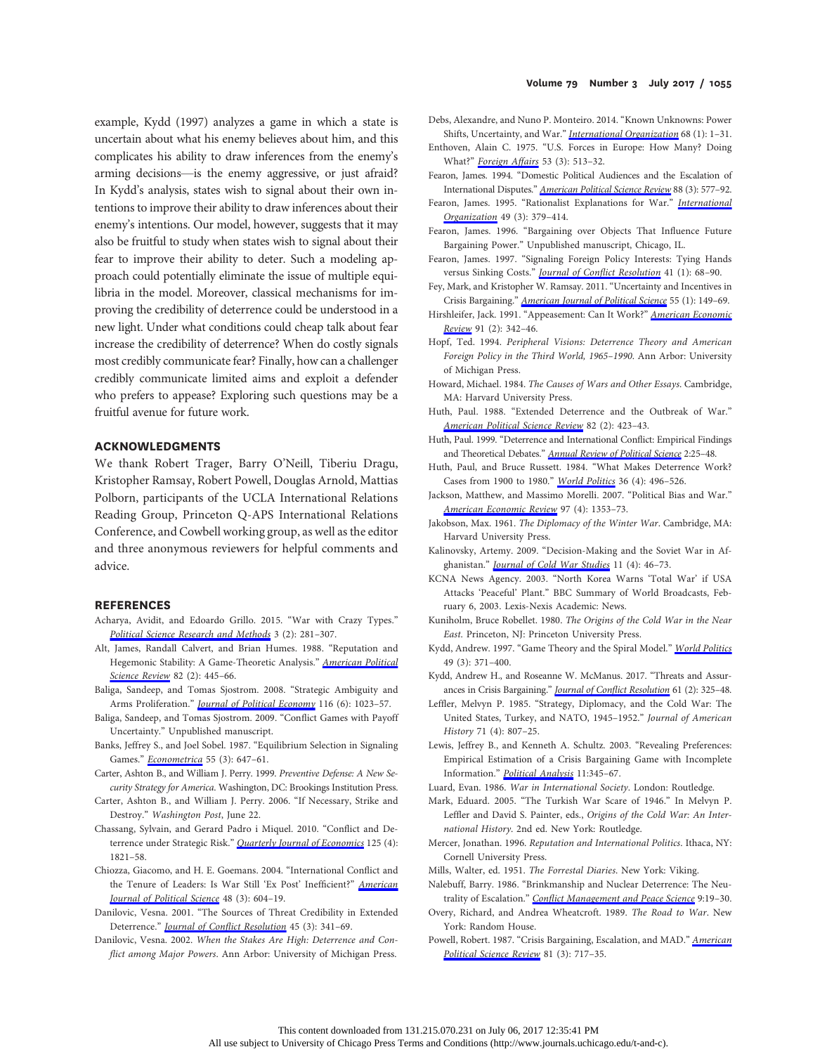example, Kydd (1997) analyzes a game in which a state is uncertain about what his enemy believes about him, and this complicates his ability to draw inferences from the enemy's arming decisions—is the enemy aggressive, or just afraid? In Kydd's analysis, states wish to signal about their own intentions to improve their ability to draw inferences about their enemy's intentions. Our model, however, suggests that it may also be fruitful to study when states wish to signal about their fear to improve their ability to deter. Such a modeling approach could potentially eliminate the issue of multiple equilibria in the model. Moreover, classical mechanisms for improving the credibility of deterrence could be understood in a new light. Under what conditions could cheap talk about fear increase the credibility of deterrence? When do costly signals most credibly communicate fear? Finally, how can a challenger credibly communicate limited aims and exploit a defender who prefers to appease? Exploring such questions may be a fruitful avenue for future work.

#### ACKNOWLEDGMENTS

We thank Robert Trager, Barry O'Neill, Tiberiu Dragu, Kristopher Ramsay, Robert Powell, Douglas Arnold, Mattias Polborn, participants of the UCLA International Relations Reading Group, Princeton Q-APS International Relations Conference, and Cowbell working group, as well as the editor and three anonymous reviewers for helpful comments and advice.

## REFERENCES

- Acharya, Avidit, and Edoardo Grillo. 2015. "War with Crazy Types." [Political Science Research and Methods](http://www.journals.uchicago.edu/action/showLinks?doi=10.1086%2F691054&crossref=10.1017%2Fpsrm.2014.23&citationId=p_14) 3 (2): 281-307.
- Alt, James, Randall Calvert, and Brian Humes. 1988. "Reputation and Hegemonic Stability: A Game-Theoretic Analysis." [American Political](http://www.journals.uchicago.edu/action/showLinks?doi=10.1086%2F691054&crossref=10.2307%2F1957395&citationId=p_15) [Science Review](http://www.journals.uchicago.edu/action/showLinks?doi=10.1086%2F691054&crossref=10.2307%2F1957395&citationId=p_15) 82 (2): 445-66.
- Baliga, Sandeep, and Tomas Sjostrom. 2008. "Strategic Ambiguity and Arms Proliferation." *[Journal of Political Economy](http://www.journals.uchicago.edu/action/showLinks?doi=10.1086%2F691054&system=10.1086%2F595016&citationId=p_16)* 116 (6): 1023-57.
- Baliga, Sandeep, and Tomas Sjostrom. 2009. "Conflict Games with Payoff Uncertainty." Unpublished manuscript.
- Banks, Jeffrey S., and Joel Sobel. 1987. "Equilibrium Selection in Signaling Games." [Econometrica](http://www.journals.uchicago.edu/action/showLinks?doi=10.1086%2F691054&crossref=10.2307%2F1913604&citationId=p_18) 55 (3): 647-61.
- Carter, Ashton B., and William J. Perry. 1999. Preventive Defense: A New Security Strategy for America. Washington, DC: Brookings Institution Press.
- Carter, Ashton B., and William J. Perry. 2006. "If Necessary, Strike and Destroy." Washington Post, June 22.
- Chassang, Sylvain, and Gerard Padro i Miquel. 2010. "Conflict and Deterrence under Strategic Risk." **[Quarterly Journal of Economics](http://www.journals.uchicago.edu/action/showLinks?doi=10.1086%2F691054&crossref=10.1162%2Fqjec.2010.125.4.1821&citationId=p_21)** 125 (4): 1821–58.
- Chiozza, Giacomo, and H. E. Goemans. 2004. "International Conflict and the Tenure of Leaders: Is War Still 'Ex Post' Inefficient?" [American](http://www.journals.uchicago.edu/action/showLinks?doi=10.1086%2F691054&crossref=10.1111%2Fj.0092-5853.2004.00090.x&citationId=p_22) [Journal of Political Science](http://www.journals.uchicago.edu/action/showLinks?doi=10.1086%2F691054&crossref=10.1111%2Fj.0092-5853.2004.00090.x&citationId=p_22) 48 (3): 604–19.
- Danilovic, Vesna. 2001. "The Sources of Threat Credibility in Extended Deterrence." *[Journal of Con](http://www.journals.uchicago.edu/action/showLinks?doi=10.1086%2F691054&crossref=10.1177%2F0022002701045003005&citationId=p_23)flict Resolution* 45 (3): 341-69.
- Danilovic, Vesna. 2002. When the Stakes Are High: Deterrence and Conflict among Major Powers. Ann Arbor: University of Michigan Press.
- Debs, Alexandre, and Nuno P. Monteiro. 2014. "Known Unknowns: Power Shifts, Uncertainty, and War." [International Organization](http://www.journals.uchicago.edu/action/showLinks?doi=10.1086%2F691054&crossref=10.1017%2FS0020818313000192&citationId=p_25) 68 (1): 1-31.
- Enthoven, Alain C. 1975. "U.S. Forces in Europe: How Many? Doing What?" [Foreign Affairs](http://www.journals.uchicago.edu/action/showLinks?doi=10.1086%2F691054&crossref=10.2307%2F20039525&citationId=p_26) 53 (3): 513-32.
- Fearon, James. 1994. "Domestic Political Audiences and the Escalation of International Disputes." [American Political Science Review](http://www.journals.uchicago.edu/action/showLinks?doi=10.1086%2F691054&crossref=10.2307%2F2944796&citationId=p_27) 88 (3): 577-92.
- Fearon, James. 1995. "Rationalist Explanations for War." [International](http://www.journals.uchicago.edu/action/showLinks?doi=10.1086%2F691054&crossref=10.1017%2FS0020818300033324&citationId=p_28) [Organization](http://www.journals.uchicago.edu/action/showLinks?doi=10.1086%2F691054&crossref=10.1017%2FS0020818300033324&citationId=p_28) 49 (3): 379–414.
- Fearon, James. 1996. "Bargaining over Objects That Influence Future Bargaining Power." Unpublished manuscript, Chicago, IL.
- Fearon, James. 1997. "Signaling Foreign Policy Interests: Tying Hands versus Sinking Costs." *[Journal of Con](http://www.journals.uchicago.edu/action/showLinks?doi=10.1086%2F691054&crossref=10.1177%2F0022002797041001004&citationId=p_30)flict Resolution* 41 (1): 68-90.
- Fey, Mark, and Kristopher W. Ramsay. 2011. "Uncertainty and Incentives in Crisis Bargaining." [American Journal of Political Science](http://www.journals.uchicago.edu/action/showLinks?doi=10.1086%2F691054&crossref=10.1111%2Fj.1540-5907.2010.00486.x&citationId=p_31) 55 (1): 149-69.
- Hirshleifer, Jack. 1991. "Appeasement: Can It Work?" [American Economic](http://www.journals.uchicago.edu/action/showLinks?doi=10.1086%2F691054&crossref=10.1257%2Faer.91.2.342&citationId=p_32) [Review](http://www.journals.uchicago.edu/action/showLinks?doi=10.1086%2F691054&crossref=10.1257%2Faer.91.2.342&citationId=p_32) 91 (2): 342–46.
- Hopf, Ted. 1994. Peripheral Visions: Deterrence Theory and American Foreign Policy in the Third World, 1965–1990. Ann Arbor: University of Michigan Press.
- Howard, Michael. 1984. The Causes of Wars and Other Essays. Cambridge, MA: Harvard University Press.
- Huth, Paul. 1988. "Extended Deterrence and the Outbreak of War." [American Political Science Review](http://www.journals.uchicago.edu/action/showLinks?doi=10.1086%2F691054&crossref=10.2307%2F1957394&citationId=p_35) 82 (2): 423-43.
- Huth, Paul. 1999. "Deterrence and International Conflict: Empirical Findings and Theoretical Debates." [Annual Review of Political Science](http://www.journals.uchicago.edu/action/showLinks?doi=10.1086%2F691054&crossref=10.1146%2Fannurev.polisci.2.1.25&citationId=p_36) 2:25–48.
- Huth, Paul, and Bruce Russett. 1984. "What Makes Deterrence Work? Cases from 1900 to 1980." [World Politics](http://www.journals.uchicago.edu/action/showLinks?doi=10.1086%2F691054&crossref=10.2307%2F2010184&citationId=p_37) 36 (4): 496–526.
- Jackson, Matthew, and Massimo Morelli. 2007. "Political Bias and War." [American Economic Review](http://www.journals.uchicago.edu/action/showLinks?doi=10.1086%2F691054&crossref=10.1257%2Faer.97.4.1353&citationId=p_38) 97 (4): 1353–73.
- Jakobson, Max. 1961. The Diplomacy of the Winter War. Cambridge, MA: Harvard University Press.
- Kalinovsky, Artemy. 2009. "Decision-Making and the Soviet War in Afghanistan." *[Journal of Cold War Studies](http://www.journals.uchicago.edu/action/showLinks?doi=10.1086%2F691054&crossref=10.1162%2Fjcws.2009.11.4.46&citationId=p_40)* 11 (4): 46-73.
- KCNA News Agency. 2003. "North Korea Warns 'Total War' if USA Attacks 'Peaceful' Plant." BBC Summary of World Broadcasts, February 6, 2003. Lexis-Nexis Academic: News.
- Kuniholm, Bruce Robellet. 1980. The Origins of the Cold War in the Near East. Princeton, NJ: Princeton University Press.
- Kydd, Andrew. 1997. "Game Theory and the Spiral Model." [World Politics](http://www.journals.uchicago.edu/action/showLinks?doi=10.1086%2F691054&crossref=10.1353%2Fwp.1997.0012&citationId=p_43) 49 (3): 371–400.
- Kydd, Andrew H., and Roseanne W. McManus. 2017. "Threats and Assur-ances in Crisis Bargaining." [Journal of Con](http://www.journals.uchicago.edu/action/showLinks?doi=10.1086%2F691054&crossref=10.1177%2F0022002715576571&citationId=p_44)flict Resolution 61 (2): 325-48.
- Leffler, Melvyn P. 1985. "Strategy, Diplomacy, and the Cold War: The United States, Turkey, and NATO, 1945–1952." Journal of American History 71 (4): 807–25.
- Lewis, Jeffrey B., and Kenneth A. Schultz. 2003. "Revealing Preferences: Empirical Estimation of a Crisis Bargaining Game with Incomplete Information." [Political Analysis](http://www.journals.uchicago.edu/action/showLinks?doi=10.1086%2F691054&crossref=10.1093%2Fpan%2Fmpg021&citationId=p_46) 11:345-67.
- Luard, Evan. 1986. War in International Society. London: Routledge.
- Mark, Eduard. 2005. "The Turkish War Scare of 1946." In Melvyn P. Leffler and David S. Painter, eds., Origins of the Cold War: An International History. 2nd ed. New York: Routledge.
- Mercer, Jonathan. 1996. Reputation and International Politics. Ithaca, NY: Cornell University Press.
- Mills, Walter, ed. 1951. The Forrestal Diaries. New York: Viking.
- Nalebuff, Barry. 1986. "Brinkmanship and Nuclear Deterrence: The Neutrality of Escalation." Confl[ict Management and Peace Science](http://www.journals.uchicago.edu/action/showLinks?doi=10.1086%2F691054&crossref=10.1177%2F073889428600900202&citationId=p_51) 9:19-30.
- Overy, Richard, and Andrea Wheatcroft. 1989. The Road to War. New York: Random House.
- Powell, Robert. 1987. "Crisis Bargaining, Escalation, and MAD." [American](http://www.journals.uchicago.edu/action/showLinks?doi=10.1086%2F691054&crossref=10.2307%2F1962673&citationId=p_53) [Political Science Review](http://www.journals.uchicago.edu/action/showLinks?doi=10.1086%2F691054&crossref=10.2307%2F1962673&citationId=p_53) 81 (3): 717-35.